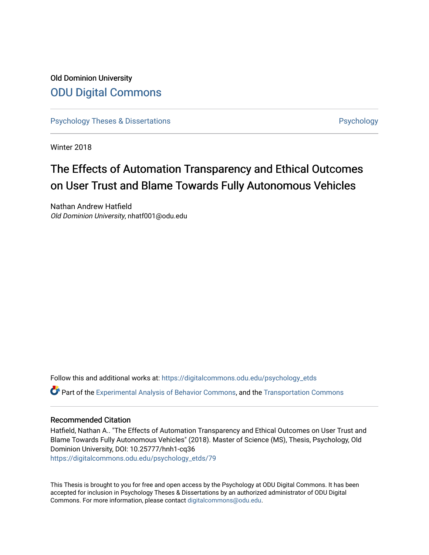# Old Dominion University [ODU Digital Commons](https://digitalcommons.odu.edu/)

[Psychology Theses & Dissertations](https://digitalcommons.odu.edu/psychology_etds) **Psychology** Psychology

Winter 2018

# The Effects of Automation Transparency and Ethical Outcomes on User Trust and Blame Towards Fully Autonomous Vehicles

Nathan Andrew Hatfield Old Dominion University, nhatf001@odu.edu

Follow this and additional works at: [https://digitalcommons.odu.edu/psychology\\_etds](https://digitalcommons.odu.edu/psychology_etds?utm_source=digitalcommons.odu.edu%2Fpsychology_etds%2F79&utm_medium=PDF&utm_campaign=PDFCoverPages) Part of the [Experimental Analysis of Behavior Commons,](http://network.bepress.com/hgg/discipline/1236?utm_source=digitalcommons.odu.edu%2Fpsychology_etds%2F79&utm_medium=PDF&utm_campaign=PDFCoverPages) and the [Transportation Commons](http://network.bepress.com/hgg/discipline/1068?utm_source=digitalcommons.odu.edu%2Fpsychology_etds%2F79&utm_medium=PDF&utm_campaign=PDFCoverPages) 

# Recommended Citation

Hatfield, Nathan A.. "The Effects of Automation Transparency and Ethical Outcomes on User Trust and Blame Towards Fully Autonomous Vehicles" (2018). Master of Science (MS), Thesis, Psychology, Old Dominion University, DOI: 10.25777/hnh1-cq36 [https://digitalcommons.odu.edu/psychology\\_etds/79](https://digitalcommons.odu.edu/psychology_etds/79?utm_source=digitalcommons.odu.edu%2Fpsychology_etds%2F79&utm_medium=PDF&utm_campaign=PDFCoverPages) 

This Thesis is brought to you for free and open access by the Psychology at ODU Digital Commons. It has been accepted for inclusion in Psychology Theses & Dissertations by an authorized administrator of ODU Digital Commons. For more information, please contact [digitalcommons@odu.edu](mailto:digitalcommons@odu.edu).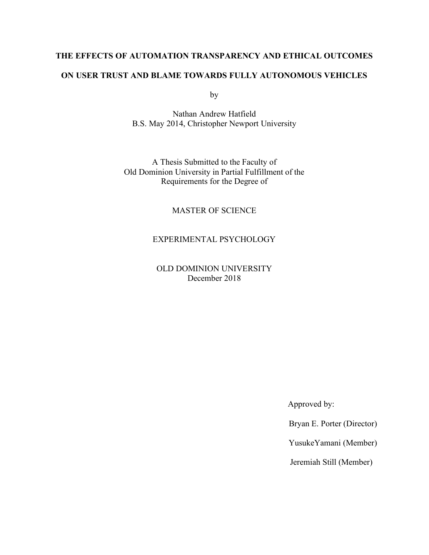# **THE EFFECTS OF AUTOMATION TRANSPARENCY AND ETHICAL OUTCOMES**

# **ON USER TRUST AND BLAME TOWARDS FULLY AUTONOMOUS VEHICLES**

by

Nathan Andrew Hatfield B.S. May 2014, Christopher Newport University

A Thesis Submitted to the Faculty of Old Dominion University in Partial Fulfillment of the Requirements for the Degree of

# MASTER OF SCIENCE

# EXPERIMENTAL PSYCHOLOGY

OLD DOMINION UNIVERSITY December 2018

Approved by:

Bryan E. Porter (Director)

YusukeYamani (Member)

Jeremiah Still (Member)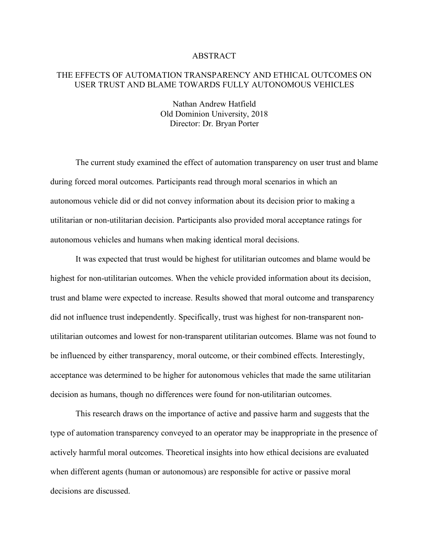### ABSTRACT

# THE EFFECTS OF AUTOMATION TRANSPARENCY AND ETHICAL OUTCOMES ON USER TRUST AND BLAME TOWARDS FULLY AUTONOMOUS VEHICLES

Nathan Andrew Hatfield Old Dominion University, 2018 Director: Dr. Bryan Porter

The current study examined the effect of automation transparency on user trust and blame during forced moral outcomes. Participants read through moral scenarios in which an autonomous vehicle did or did not convey information about its decision prior to making a utilitarian or non-utilitarian decision. Participants also provided moral acceptance ratings for autonomous vehicles and humans when making identical moral decisions.

It was expected that trust would be highest for utilitarian outcomes and blame would be highest for non-utilitarian outcomes. When the vehicle provided information about its decision, trust and blame were expected to increase. Results showed that moral outcome and transparency did not influence trust independently. Specifically, trust was highest for non-transparent nonutilitarian outcomes and lowest for non-transparent utilitarian outcomes. Blame was not found to be influenced by either transparency, moral outcome, or their combined effects. Interestingly, acceptance was determined to be higher for autonomous vehicles that made the same utilitarian decision as humans, though no differences were found for non-utilitarian outcomes.

This research draws on the importance of active and passive harm and suggests that the type of automation transparency conveyed to an operator may be inappropriate in the presence of actively harmful moral outcomes. Theoretical insights into how ethical decisions are evaluated when different agents (human or autonomous) are responsible for active or passive moral decisions are discussed.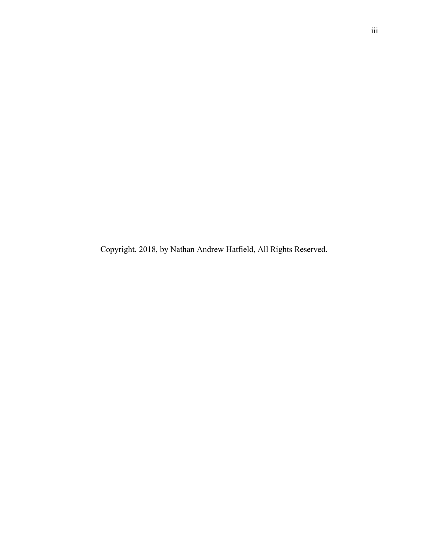Copyright, 2018, by Nathan Andrew Hatfield, All Rights Reserved.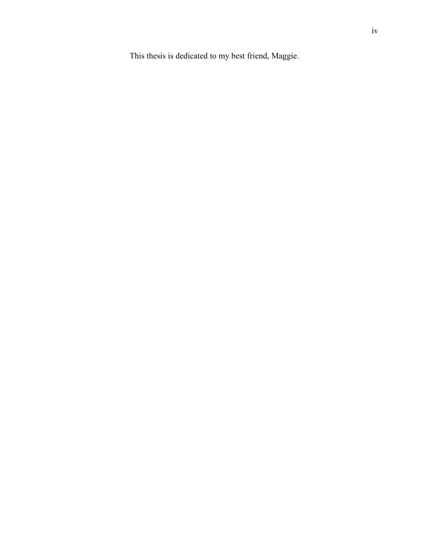This thesis is dedicated to my best friend, Maggie.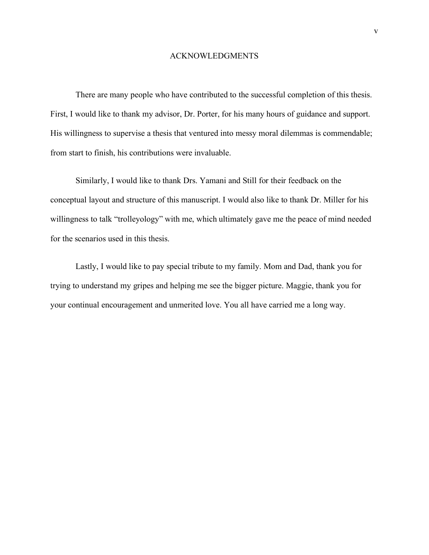### ACKNOWLEDGMENTS

There are many people who have contributed to the successful completion of this thesis. First, I would like to thank my advisor, Dr. Porter, for his many hours of guidance and support. His willingness to supervise a thesis that ventured into messy moral dilemmas is commendable; from start to finish, his contributions were invaluable.

Similarly, I would like to thank Drs. Yamani and Still for their feedback on the conceptual layout and structure of this manuscript. I would also like to thank Dr. Miller for his willingness to talk "trolleyology" with me, which ultimately gave me the peace of mind needed for the scenarios used in this thesis.

Lastly, I would like to pay special tribute to my family. Mom and Dad, thank you for trying to understand my gripes and helping me see the bigger picture. Maggie, thank you for your continual encouragement and unmerited love. You all have carried me a long way.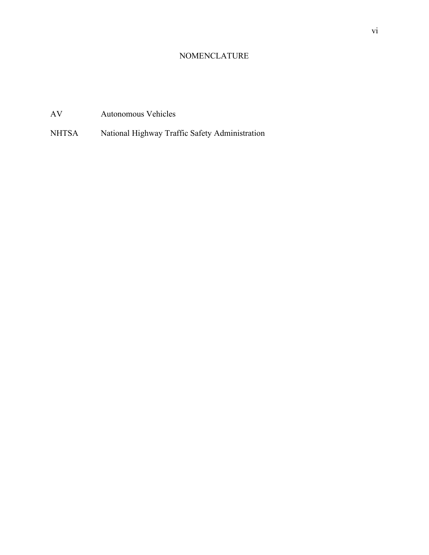# NOMENCLATURE

# AV Autonomous Vehicles

NHTSA National Highway Traffic Safety Administration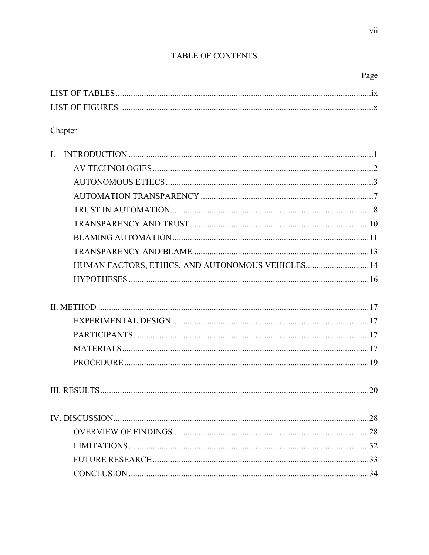# TABLE OF CONTENTS

|--|

| <b>LIST OF FIGURES</b> |  |
|------------------------|--|

# Chapter

| $\overline{L}$                                    |  |
|---------------------------------------------------|--|
|                                                   |  |
|                                                   |  |
|                                                   |  |
|                                                   |  |
|                                                   |  |
|                                                   |  |
|                                                   |  |
| HUMAN FACTORS, ETHICS, AND AUTONOMOUS VEHICLES 14 |  |
|                                                   |  |
|                                                   |  |
|                                                   |  |
|                                                   |  |
|                                                   |  |
|                                                   |  |
|                                                   |  |
|                                                   |  |
|                                                   |  |
|                                                   |  |
|                                                   |  |
|                                                   |  |
|                                                   |  |
|                                                   |  |
|                                                   |  |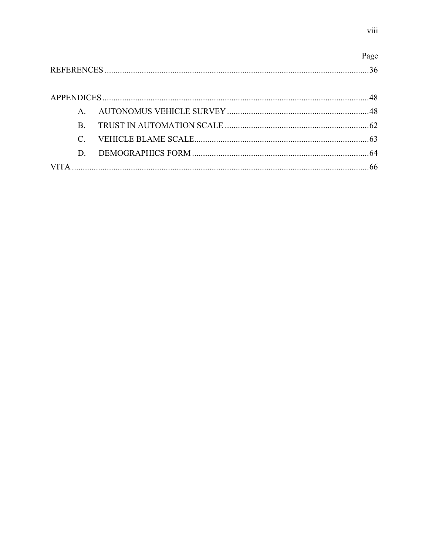|    | Page |
|----|------|
|    |      |
|    |      |
|    |      |
| B. |      |
|    |      |
| D. |      |
|    |      |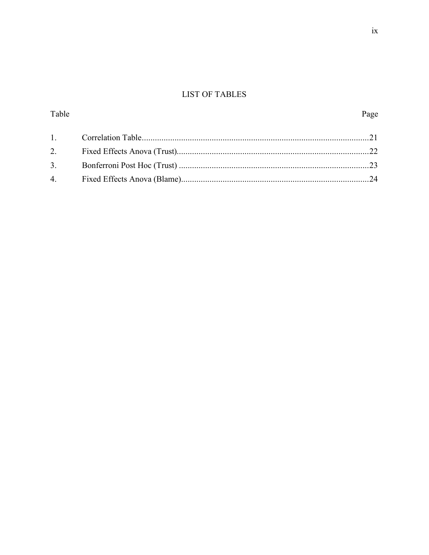# **LIST OF TABLES**

Table

| 3. |  |
|----|--|
|    |  |

Page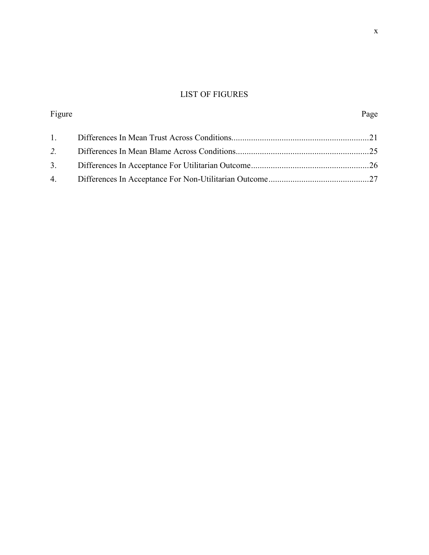# LIST OF FIGURES

| Figure | Page |
|--------|------|
|        |      |
|        |      |
|        |      |
|        |      |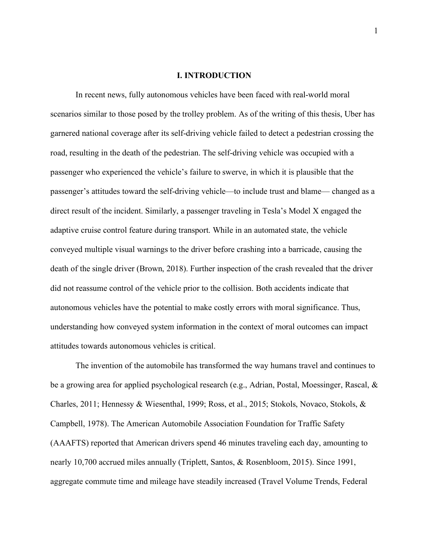### **I. INTRODUCTION**

In recent news, fully autonomous vehicles have been faced with real-world moral scenarios similar to those posed by the trolley problem. As of the writing of this thesis, Uber has garnered national coverage after its self-driving vehicle failed to detect a pedestrian crossing the road, resulting in the death of the pedestrian. The self-driving vehicle was occupied with a passenger who experienced the vehicle's failure to swerve, in which it is plausible that the passenger's attitudes toward the self-driving vehicle—to include trust and blame— changed as a direct result of the incident. Similarly, a passenger traveling in Tesla's Model X engaged the adaptive cruise control feature during transport. While in an automated state, the vehicle conveyed multiple visual warnings to the driver before crashing into a barricade, causing the death of the single driver (Brown, 2018). Further inspection of the crash revealed that the driver did not reassume control of the vehicle prior to the collision. Both accidents indicate that autonomous vehicles have the potential to make costly errors with moral significance. Thus, understanding how conveyed system information in the context of moral outcomes can impact attitudes towards autonomous vehicles is critical.

The invention of the automobile has transformed the way humans travel and continues to be a growing area for applied psychological research (e.g., Adrian, Postal, Moessinger, Rascal, & Charles, 2011; Hennessy & Wiesenthal, 1999; Ross, et al., 2015; Stokols, Novaco, Stokols, & Campbell, 1978). The American Automobile Association Foundation for Traffic Safety (AAAFTS) reported that American drivers spend 46 minutes traveling each day, amounting to nearly 10,700 accrued miles annually (Triplett, Santos, & Rosenbloom, 2015). Since 1991, aggregate commute time and mileage have steadily increased (Travel Volume Trends, Federal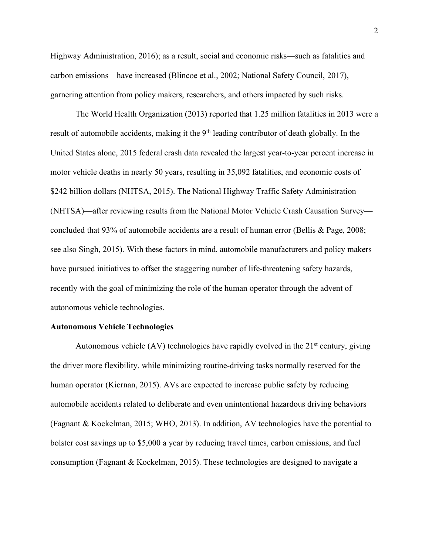Highway Administration, 2016); as a result, social and economic risks—such as fatalities and carbon emissions—have increased (Blincoe et al., 2002; National Safety Council, 2017), garnering attention from policy makers, researchers, and others impacted by such risks.

The World Health Organization (2013) reported that 1.25 million fatalities in 2013 were a result of automobile accidents, making it the 9<sup>th</sup> leading contributor of death globally. In the United States alone, 2015 federal crash data revealed the largest year-to-year percent increase in motor vehicle deaths in nearly 50 years, resulting in 35,092 fatalities, and economic costs of \$242 billion dollars (NHTSA, 2015). The National Highway Traffic Safety Administration (NHTSA)—after reviewing results from the National Motor Vehicle Crash Causation Survey concluded that 93% of automobile accidents are a result of human error (Bellis & Page, 2008; see also Singh, 2015). With these factors in mind, automobile manufacturers and policy makers have pursued initiatives to offset the staggering number of life-threatening safety hazards, recently with the goal of minimizing the role of the human operator through the advent of autonomous vehicle technologies.

#### **Autonomous Vehicle Technologies**

Autonomous vehicle  $(AV)$  technologies have rapidly evolved in the  $21<sup>st</sup>$  century, giving the driver more flexibility, while minimizing routine-driving tasks normally reserved for the human operator (Kiernan, 2015). AVs are expected to increase public safety by reducing automobile accidents related to deliberate and even unintentional hazardous driving behaviors (Fagnant & Kockelman, 2015; WHO, 2013). In addition, AV technologies have the potential to bolster cost savings up to \$5,000 a year by reducing travel times, carbon emissions, and fuel consumption (Fagnant & Kockelman, 2015). These technologies are designed to navigate a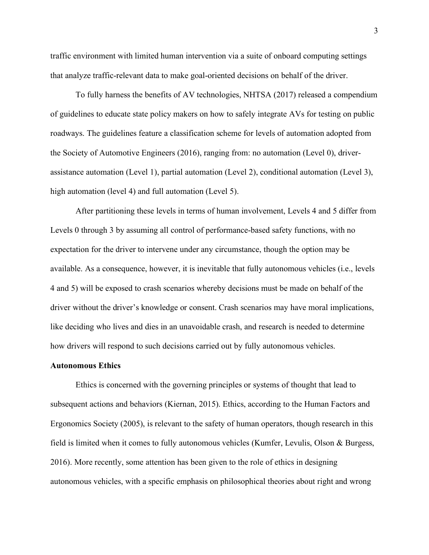traffic environment with limited human intervention via a suite of onboard computing settings that analyze traffic-relevant data to make goal-oriented decisions on behalf of the driver.

To fully harness the benefits of AV technologies, NHTSA (2017) released a compendium of guidelines to educate state policy makers on how to safely integrate AVs for testing on public roadways. The guidelines feature a classification scheme for levels of automation adopted from the Society of Automotive Engineers (2016), ranging from: no automation (Level 0), driverassistance automation (Level 1), partial automation (Level 2), conditional automation (Level 3), high automation (level 4) and full automation (Level 5).

After partitioning these levels in terms of human involvement, Levels 4 and 5 differ from Levels 0 through 3 by assuming all control of performance-based safety functions, with no expectation for the driver to intervene under any circumstance, though the option may be available. As a consequence, however, it is inevitable that fully autonomous vehicles (i.e., levels 4 and 5) will be exposed to crash scenarios whereby decisions must be made on behalf of the driver without the driver's knowledge or consent. Crash scenarios may have moral implications, like deciding who lives and dies in an unavoidable crash, and research is needed to determine how drivers will respond to such decisions carried out by fully autonomous vehicles.

# **Autonomous Ethics**

Ethics is concerned with the governing principles or systems of thought that lead to subsequent actions and behaviors (Kiernan, 2015). Ethics, according to the Human Factors and Ergonomics Society (2005), is relevant to the safety of human operators, though research in this field is limited when it comes to fully autonomous vehicles (Kumfer, Levulis, Olson & Burgess, 2016). More recently, some attention has been given to the role of ethics in designing autonomous vehicles, with a specific emphasis on philosophical theories about right and wrong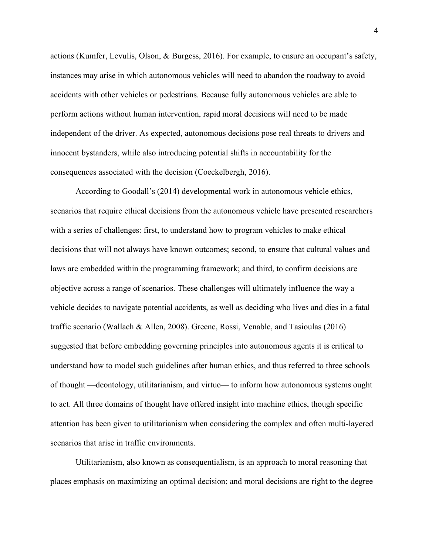actions (Kumfer, Levulis, Olson, & Burgess, 2016). For example, to ensure an occupant's safety, instances may arise in which autonomous vehicles will need to abandon the roadway to avoid accidents with other vehicles or pedestrians. Because fully autonomous vehicles are able to perform actions without human intervention, rapid moral decisions will need to be made independent of the driver. As expected, autonomous decisions pose real threats to drivers and innocent bystanders, while also introducing potential shifts in accountability for the consequences associated with the decision (Coeckelbergh, 2016).

According to Goodall's (2014) developmental work in autonomous vehicle ethics, scenarios that require ethical decisions from the autonomous vehicle have presented researchers with a series of challenges: first, to understand how to program vehicles to make ethical decisions that will not always have known outcomes; second, to ensure that cultural values and laws are embedded within the programming framework; and third, to confirm decisions are objective across a range of scenarios. These challenges will ultimately influence the way a vehicle decides to navigate potential accidents, as well as deciding who lives and dies in a fatal traffic scenario (Wallach & Allen, 2008). Greene, Rossi, Venable, and Tasioulas (2016) suggested that before embedding governing principles into autonomous agents it is critical to understand how to model such guidelines after human ethics, and thus referred to three schools of thought —deontology, utilitarianism, and virtue— to inform how autonomous systems ought to act. All three domains of thought have offered insight into machine ethics, though specific attention has been given to utilitarianism when considering the complex and often multi-layered scenarios that arise in traffic environments.

Utilitarianism, also known as consequentialism, is an approach to moral reasoning that places emphasis on maximizing an optimal decision; and moral decisions are right to the degree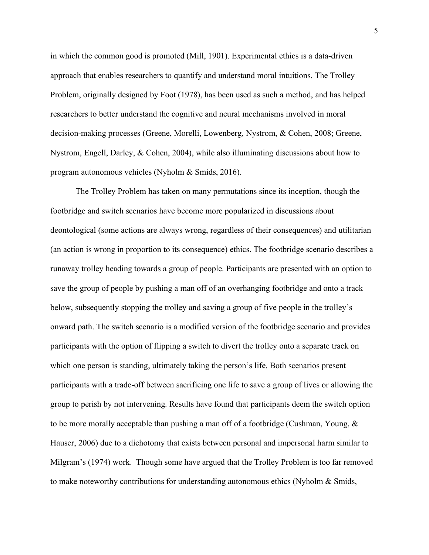in which the common good is promoted (Mill, 1901). Experimental ethics is a data-driven approach that enables researchers to quantify and understand moral intuitions. The Trolley Problem, originally designed by Foot (1978), has been used as such a method, and has helped researchers to better understand the cognitive and neural mechanisms involved in moral decision-making processes (Greene, Morelli, Lowenberg, Nystrom, & Cohen, 2008; Greene, Nystrom, Engell, Darley, & Cohen, 2004), while also illuminating discussions about how to program autonomous vehicles (Nyholm & Smids, 2016).

The Trolley Problem has taken on many permutations since its inception, though the footbridge and switch scenarios have become more popularized in discussions about deontological (some actions are always wrong, regardless of their consequences) and utilitarian (an action is wrong in proportion to its consequence) ethics. The footbridge scenario describes a runaway trolley heading towards a group of people. Participants are presented with an option to save the group of people by pushing a man off of an overhanging footbridge and onto a track below, subsequently stopping the trolley and saving a group of five people in the trolley's onward path. The switch scenario is a modified version of the footbridge scenario and provides participants with the option of flipping a switch to divert the trolley onto a separate track on which one person is standing, ultimately taking the person's life. Both scenarios present participants with a trade-off between sacrificing one life to save a group of lives or allowing the group to perish by not intervening. Results have found that participants deem the switch option to be more morally acceptable than pushing a man off of a footbridge (Cushman, Young, & Hauser, 2006) due to a dichotomy that exists between personal and impersonal harm similar to Milgram's (1974) work. Though some have argued that the Trolley Problem is too far removed to make noteworthy contributions for understanding autonomous ethics (Nyholm & Smids,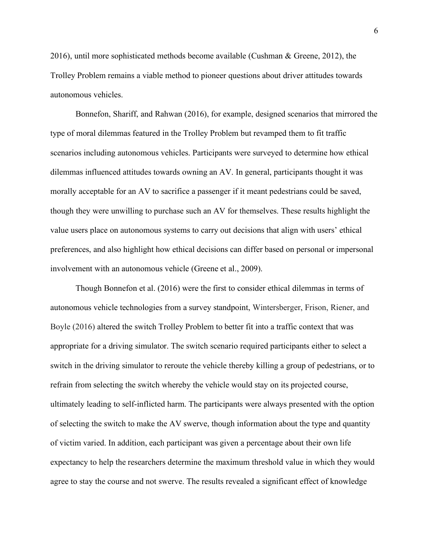2016), until more sophisticated methods become available (Cushman & Greene, 2012), the Trolley Problem remains a viable method to pioneer questions about driver attitudes towards autonomous vehicles.

 Bonnefon, Shariff, and Rahwan (2016), for example, designed scenarios that mirrored the type of moral dilemmas featured in the Trolley Problem but revamped them to fit traffic scenarios including autonomous vehicles. Participants were surveyed to determine how ethical dilemmas influenced attitudes towards owning an AV. In general, participants thought it was morally acceptable for an AV to sacrifice a passenger if it meant pedestrians could be saved, though they were unwilling to purchase such an AV for themselves. These results highlight the value users place on autonomous systems to carry out decisions that align with users' ethical preferences, and also highlight how ethical decisions can differ based on personal or impersonal involvement with an autonomous vehicle (Greene et al., 2009).

Though Bonnefon et al. (2016) were the first to consider ethical dilemmas in terms of autonomous vehicle technologies from a survey standpoint, Wintersberger, Frison, Riener, and Boyle (2016) altered the switch Trolley Problem to better fit into a traffic context that was appropriate for a driving simulator. The switch scenario required participants either to select a switch in the driving simulator to reroute the vehicle thereby killing a group of pedestrians, or to refrain from selecting the switch whereby the vehicle would stay on its projected course, ultimately leading to self-inflicted harm. The participants were always presented with the option of selecting the switch to make the AV swerve, though information about the type and quantity of victim varied. In addition, each participant was given a percentage about their own life expectancy to help the researchers determine the maximum threshold value in which they would agree to stay the course and not swerve. The results revealed a significant effect of knowledge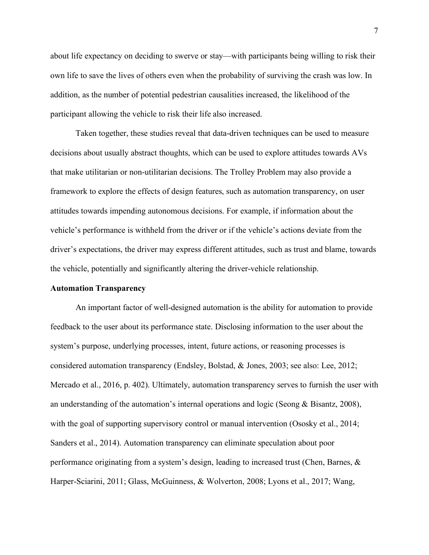about life expectancy on deciding to swerve or stay—with participants being willing to risk their own life to save the lives of others even when the probability of surviving the crash was low. In addition, as the number of potential pedestrian causalities increased, the likelihood of the participant allowing the vehicle to risk their life also increased.

Taken together, these studies reveal that data-driven techniques can be used to measure decisions about usually abstract thoughts, which can be used to explore attitudes towards AVs that make utilitarian or non-utilitarian decisions. The Trolley Problem may also provide a framework to explore the effects of design features, such as automation transparency, on user attitudes towards impending autonomous decisions. For example, if information about the vehicle's performance is withheld from the driver or if the vehicle's actions deviate from the driver's expectations, the driver may express different attitudes, such as trust and blame, towards the vehicle, potentially and significantly altering the driver-vehicle relationship.

#### **Automation Transparency**

An important factor of well-designed automation is the ability for automation to provide feedback to the user about its performance state. Disclosing information to the user about the system's purpose, underlying processes, intent, future actions, or reasoning processes is considered automation transparency (Endsley, Bolstad, & Jones, 2003; see also: Lee, 2012; Mercado et al., 2016, p. 402). Ultimately, automation transparency serves to furnish the user with an understanding of the automation's internal operations and logic (Seong & Bisantz, 2008), with the goal of supporting supervisory control or manual intervention (Ososky et al., 2014; Sanders et al., 2014). Automation transparency can eliminate speculation about poor performance originating from a system's design, leading to increased trust (Chen, Barnes, & Harper-Sciarini, 2011; Glass, McGuinness, & Wolverton, 2008; Lyons et al., 2017; Wang,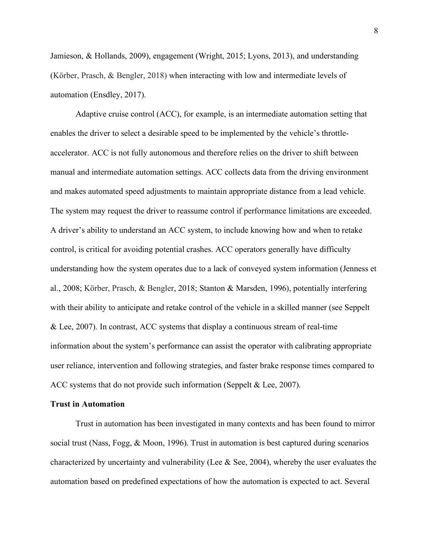Jamieson, & Hollands, 2009), engagement (Wright, 2015; Lyons, 2013), and understanding (Körber, Prasch, & Bengler, 2018) when interacting with low and intermediate levels of automation (Ensdley, 2017).

Adaptive cruise control (ACC), for example, is an intermediate automation setting that enables the driver to select a desirable speed to be implemented by the vehicle's throttleaccelerator. ACC is not fully autonomous and therefore relies on the driver to shift between manual and intermediate automation settings. ACC collects data from the driving environment and makes automated speed adjustments to maintain appropriate distance from a lead vehicle. The system may request the driver to reassume control if performance limitations are exceeded. A driver's ability to understand an ACC system, to include knowing how and when to retake control, is critical for avoiding potential crashes. ACC operators generally have difficulty understanding how the system operates due to a lack of conveyed system information (Jenness et al., 2008; Körber, Prasch, & Bengler, 2018; Stanton & Marsden, 1996), potentially interfering with their ability to anticipate and retake control of the vehicle in a skilled manner (see Seppelt & Lee, 2007). In contrast, ACC systems that display a continuous stream of real-time information about the system's performance can assist the operator with calibrating appropriate user reliance, intervention and following strategies, and faster brake response times compared to ACC systems that do not provide such information (Seppelt & Lee, 2007).

## **Trust in Automation**

Trust in automation has been investigated in many contexts and has been found to mirror social trust (Nass, Fogg, & Moon, 1996). Trust in automation is best captured during scenarios characterized by uncertainty and vulnerability (Lee & See, 2004), whereby the user evaluates the automation based on predefined expectations of how the automation is expected to act. Several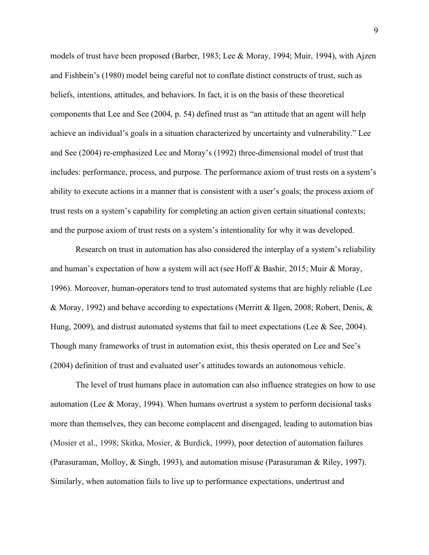models of trust have been proposed (Barber, 1983; Lee & Moray, 1994; Muir, 1994), with Ajzen and Fishbein's (1980) model being careful not to conflate distinct constructs of trust, such as beliefs, intentions, attitudes, and behaviors. In fact, it is on the basis of these theoretical components that Lee and See (2004, p. 54) defined trust as "an attitude that an agent will help achieve an individual's goals in a situation characterized by uncertainty and vulnerability." Lee and See (2004) re-emphasized Lee and Moray's (1992) three-dimensional model of trust that includes: performance, process, and purpose. The performance axiom of trust rests on a system's ability to execute actions in a manner that is consistent with a user's goals; the process axiom of trust rests on a system's capability for completing an action given certain situational contexts; and the purpose axiom of trust rests on a system's intentionality for why it was developed.

Research on trust in automation has also considered the interplay of a system's reliability and human's expectation of how a system will act (see Hoff & Bashir, 2015; Muir & Moray, 1996). Moreover, human-operators tend to trust automated systems that are highly reliable (Lee & Moray, 1992) and behave according to expectations (Merritt & Ilgen, 2008; Robert, Denis, & Hung, 2009), and distrust automated systems that fail to meet expectations (Lee & See, 2004). Though many frameworks of trust in automation exist, this thesis operated on Lee and See's (2004) definition of trust and evaluated user's attitudes towards an autonomous vehicle.

The level of trust humans place in automation can also influence strategies on how to use automation (Lee & Moray, 1994). When humans overtrust a system to perform decisional tasks more than themselves, they can become complacent and disengaged, leading to automation bias (Mosier et al., 1998; Skitka, Mosier, & Burdick, 1999), poor detection of automation failures (Parasuraman, Molloy, & Singh, 1993), and automation misuse (Parasuraman & Riley, 1997). Similarly, when automation fails to live up to performance expectations, undertrust and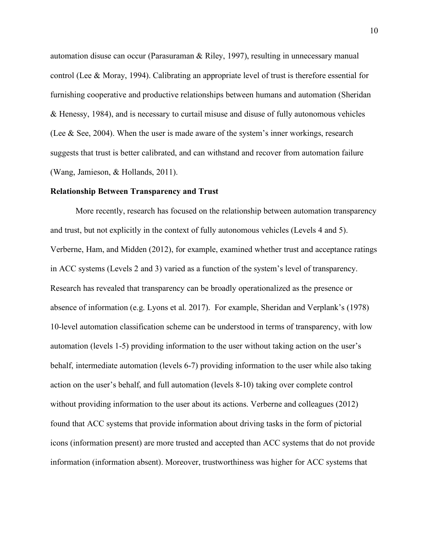automation disuse can occur (Parasuraman & Riley, 1997), resulting in unnecessary manual control (Lee & Moray, 1994). Calibrating an appropriate level of trust is therefore essential for furnishing cooperative and productive relationships between humans and automation (Sheridan & Henessy, 1984), and is necessary to curtail misuse and disuse of fully autonomous vehicles (Lee & See, 2004). When the user is made aware of the system's inner workings, research suggests that trust is better calibrated, and can withstand and recover from automation failure (Wang, Jamieson, & Hollands, 2011).

#### **Relationship Between Transparency and Trust**

More recently, research has focused on the relationship between automation transparency and trust, but not explicitly in the context of fully autonomous vehicles (Levels 4 and 5). Verberne, Ham, and Midden (2012), for example, examined whether trust and acceptance ratings in ACC systems (Levels 2 and 3) varied as a function of the system's level of transparency. Research has revealed that transparency can be broadly operationalized as the presence or absence of information (e.g. Lyons et al. 2017). For example, Sheridan and Verplank's (1978) 10-level automation classification scheme can be understood in terms of transparency, with low automation (levels 1-5) providing information to the user without taking action on the user's behalf, intermediate automation (levels 6-7) providing information to the user while also taking action on the user's behalf, and full automation (levels 8-10) taking over complete control without providing information to the user about its actions. Verberne and colleagues (2012) found that ACC systems that provide information about driving tasks in the form of pictorial icons (information present) are more trusted and accepted than ACC systems that do not provide information (information absent). Moreover, trustworthiness was higher for ACC systems that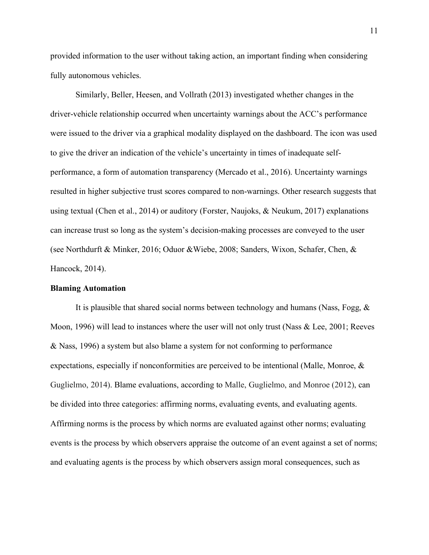provided information to the user without taking action, an important finding when considering fully autonomous vehicles.

Similarly, Beller, Heesen, and Vollrath (2013) investigated whether changes in the driver-vehicle relationship occurred when uncertainty warnings about the ACC's performance were issued to the driver via a graphical modality displayed on the dashboard. The icon was used to give the driver an indication of the vehicle's uncertainty in times of inadequate selfperformance, a form of automation transparency (Mercado et al., 2016). Uncertainty warnings resulted in higher subjective trust scores compared to non-warnings. Other research suggests that using textual (Chen et al., 2014) or auditory (Forster, Naujoks, & Neukum, 2017) explanations can increase trust so long as the system's decision-making processes are conveyed to the user (see Northdurft & Minker, 2016; Oduor &Wiebe, 2008; Sanders, Wixon, Schafer, Chen, & Hancock, 2014).

#### **Blaming Automation**

It is plausible that shared social norms between technology and humans (Nass, Fogg, & Moon, 1996) will lead to instances where the user will not only trust (Nass & Lee, 2001; Reeves & Nass, 1996) a system but also blame a system for not conforming to performance expectations, especially if nonconformities are perceived to be intentional (Malle, Monroe, & Guglielmo, 2014). Blame evaluations, according to Malle, Guglielmo, and Monroe (2012), can be divided into three categories: affirming norms, evaluating events, and evaluating agents. Affirming norms is the process by which norms are evaluated against other norms; evaluating events is the process by which observers appraise the outcome of an event against a set of norms; and evaluating agents is the process by which observers assign moral consequences, such as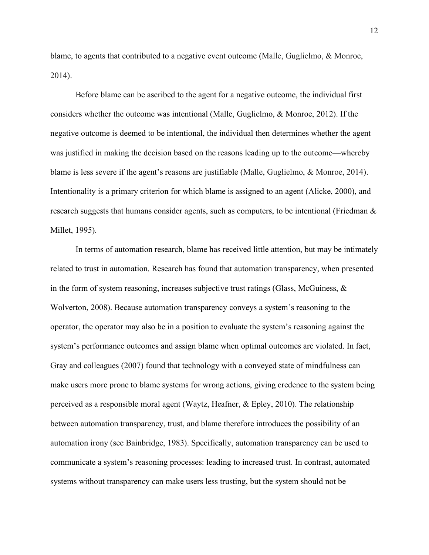blame, to agents that contributed to a negative event outcome (Malle, Guglielmo, & Monroe, 2014).

Before blame can be ascribed to the agent for a negative outcome, the individual first considers whether the outcome was intentional (Malle, Guglielmo, & Monroe, 2012). If the negative outcome is deemed to be intentional, the individual then determines whether the agent was justified in making the decision based on the reasons leading up to the outcome—whereby blame is less severe if the agent's reasons are justifiable (Malle, Guglielmo, & Monroe, 2014). Intentionality is a primary criterion for which blame is assigned to an agent (Alicke, 2000), and research suggests that humans consider agents, such as computers, to be intentional (Friedman & Millet, 1995).

In terms of automation research, blame has received little attention, but may be intimately related to trust in automation. Research has found that automation transparency, when presented in the form of system reasoning, increases subjective trust ratings (Glass, McGuiness,  $\&$ Wolverton, 2008). Because automation transparency conveys a system's reasoning to the operator, the operator may also be in a position to evaluate the system's reasoning against the system's performance outcomes and assign blame when optimal outcomes are violated. In fact, Gray and colleagues (2007) found that technology with a conveyed state of mindfulness can make users more prone to blame systems for wrong actions, giving credence to the system being perceived as a responsible moral agent (Waytz, Heafner, & Epley, 2010). The relationship between automation transparency, trust, and blame therefore introduces the possibility of an automation irony (see Bainbridge, 1983). Specifically, automation transparency can be used to communicate a system's reasoning processes: leading to increased trust. In contrast, automated systems without transparency can make users less trusting, but the system should not be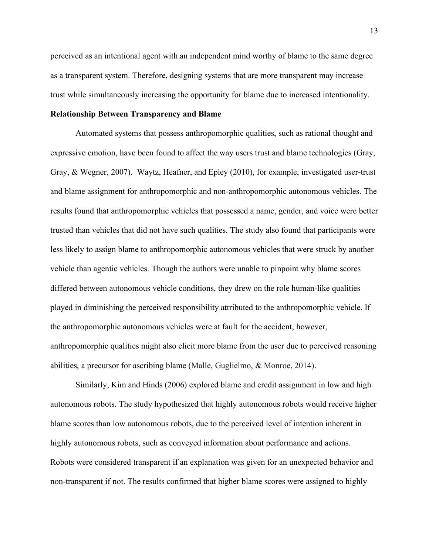perceived as an intentional agent with an independent mind worthy of blame to the same degree as a transparent system. Therefore, designing systems that are more transparent may increase trust while simultaneously increasing the opportunity for blame due to increased intentionality.

# **Relationship Between Transparency and Blame**

Automated systems that possess anthropomorphic qualities, such as rational thought and expressive emotion, have been found to affect the way users trust and blame technologies (Gray, Gray, & Wegner, 2007). Waytz, Heafner, and Epley (2010), for example, investigated user-trust and blame assignment for anthropomorphic and non-anthropomorphic autonomous vehicles. The results found that anthropomorphic vehicles that possessed a name, gender, and voice were better trusted than vehicles that did not have such qualities. The study also found that participants were less likely to assign blame to anthropomorphic autonomous vehicles that were struck by another vehicle than agentic vehicles. Though the authors were unable to pinpoint why blame scores differed between autonomous vehicle conditions, they drew on the role human-like qualities played in diminishing the perceived responsibility attributed to the anthropomorphic vehicle. If the anthropomorphic autonomous vehicles were at fault for the accident, however, anthropomorphic qualities might also elicit more blame from the user due to perceived reasoning abilities, a precursor for ascribing blame (Malle, Guglielmo, & Monroe, 2014).

Similarly, Kim and Hinds (2006) explored blame and credit assignment in low and high autonomous robots. The study hypothesized that highly autonomous robots would receive higher blame scores than low autonomous robots, due to the perceived level of intention inherent in highly autonomous robots, such as conveyed information about performance and actions. Robots were considered transparent if an explanation was given for an unexpected behavior and non-transparent if not. The results confirmed that higher blame scores were assigned to highly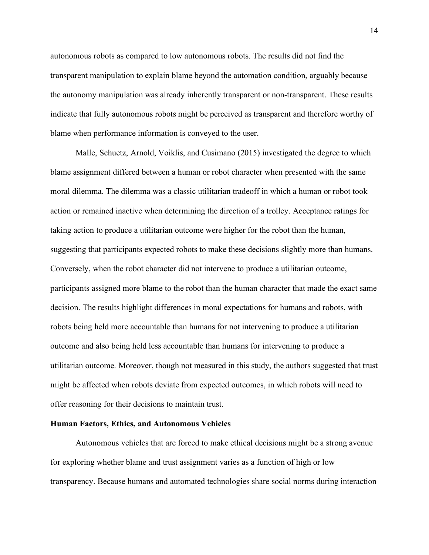autonomous robots as compared to low autonomous robots. The results did not find the transparent manipulation to explain blame beyond the automation condition, arguably because the autonomy manipulation was already inherently transparent or non-transparent. These results indicate that fully autonomous robots might be perceived as transparent and therefore worthy of blame when performance information is conveyed to the user.

Malle, Schuetz, Arnold, Voiklis, and Cusimano (2015) investigated the degree to which blame assignment differed between a human or robot character when presented with the same moral dilemma. The dilemma was a classic utilitarian tradeoff in which a human or robot took action or remained inactive when determining the direction of a trolley. Acceptance ratings for taking action to produce a utilitarian outcome were higher for the robot than the human, suggesting that participants expected robots to make these decisions slightly more than humans. Conversely, when the robot character did not intervene to produce a utilitarian outcome, participants assigned more blame to the robot than the human character that made the exact same decision. The results highlight differences in moral expectations for humans and robots, with robots being held more accountable than humans for not intervening to produce a utilitarian outcome and also being held less accountable than humans for intervening to produce a utilitarian outcome. Moreover, though not measured in this study, the authors suggested that trust might be affected when robots deviate from expected outcomes, in which robots will need to offer reasoning for their decisions to maintain trust.

# **Human Factors, Ethics, and Autonomous Vehicles**

Autonomous vehicles that are forced to make ethical decisions might be a strong avenue for exploring whether blame and trust assignment varies as a function of high or low transparency. Because humans and automated technologies share social norms during interaction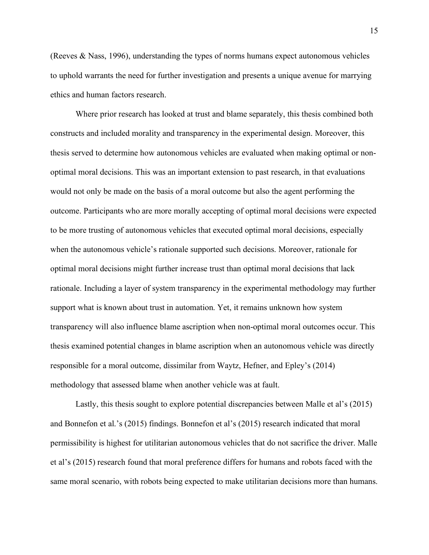(Reeves & Nass, 1996), understanding the types of norms humans expect autonomous vehicles to uphold warrants the need for further investigation and presents a unique avenue for marrying ethics and human factors research.

Where prior research has looked at trust and blame separately, this thesis combined both constructs and included morality and transparency in the experimental design. Moreover, this thesis served to determine how autonomous vehicles are evaluated when making optimal or nonoptimal moral decisions. This was an important extension to past research, in that evaluations would not only be made on the basis of a moral outcome but also the agent performing the outcome. Participants who are more morally accepting of optimal moral decisions were expected to be more trusting of autonomous vehicles that executed optimal moral decisions, especially when the autonomous vehicle's rationale supported such decisions. Moreover, rationale for optimal moral decisions might further increase trust than optimal moral decisions that lack rationale. Including a layer of system transparency in the experimental methodology may further support what is known about trust in automation. Yet, it remains unknown how system transparency will also influence blame ascription when non-optimal moral outcomes occur. This thesis examined potential changes in blame ascription when an autonomous vehicle was directly responsible for a moral outcome, dissimilar from Waytz, Hefner, and Epley's (2014) methodology that assessed blame when another vehicle was at fault.

Lastly, this thesis sought to explore potential discrepancies between Malle et al's (2015) and Bonnefon et al.'s (2015) findings. Bonnefon et al's (2015) research indicated that moral permissibility is highest for utilitarian autonomous vehicles that do not sacrifice the driver. Malle et al's (2015) research found that moral preference differs for humans and robots faced with the same moral scenario, with robots being expected to make utilitarian decisions more than humans.

15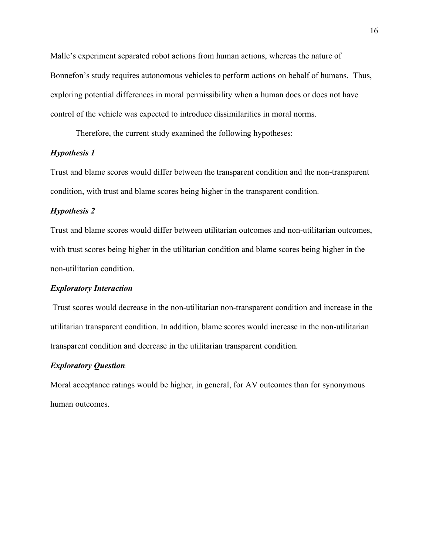Malle's experiment separated robot actions from human actions, whereas the nature of Bonnefon's study requires autonomous vehicles to perform actions on behalf of humans. Thus, exploring potential differences in moral permissibility when a human does or does not have control of the vehicle was expected to introduce dissimilarities in moral norms.

Therefore, the current study examined the following hypotheses:

# *Hypothesis 1*

Trust and blame scores would differ between the transparent condition and the non-transparent condition, with trust and blame scores being higher in the transparent condition.

# *Hypothesis 2*

Trust and blame scores would differ between utilitarian outcomes and non-utilitarian outcomes, with trust scores being higher in the utilitarian condition and blame scores being higher in the non-utilitarian condition.

#### *Exploratory Interaction*

Trust scores would decrease in the non-utilitarian non-transparent condition and increase in the utilitarian transparent condition. In addition, blame scores would increase in the non-utilitarian transparent condition and decrease in the utilitarian transparent condition.

# *Exploratory Question*:

Moral acceptance ratings would be higher, in general, for AV outcomes than for synonymous human outcomes.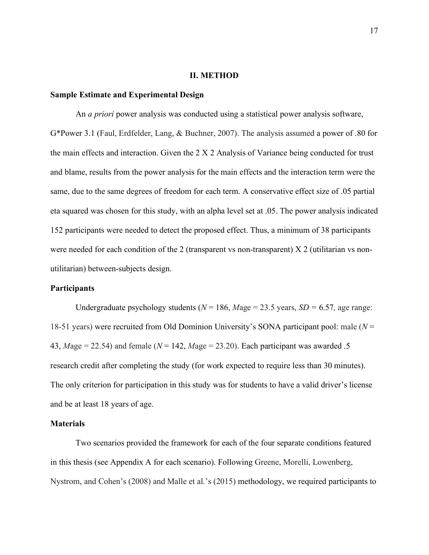#### **II. METHOD**

### **Sample Estimate and Experimental Design**

 An *a priori* power analysis was conducted using a statistical power analysis software, G\*Power 3.1 (Faul, Erdfelder, Lang, & Buchner, 2007). The analysis assumed a power of .80 for the main effects and interaction. Given the 2 X 2 Analysis of Variance being conducted for trust and blame, results from the power analysis for the main effects and the interaction term were the same, due to the same degrees of freedom for each term. A conservative effect size of .05 partial eta squared was chosen for this study, with an alpha level set at .05. The power analysis indicated 152 participants were needed to detect the proposed effect. Thus, a minimum of 38 participants were needed for each condition of the 2 (transparent vs non-transparent) X 2 (utilitarian vs nonutilitarian) between-subjects design.

#### **Participants**

Undergraduate psychology students ( $N = 186$ ,  $Mage = 23.5$  years,  $SD = 6.57$ , age range: 18-51 years) were recruited from Old Dominion University's SONA participant pool: male (*N* = 43,  $Mage = 22.54$ ) and female ( $N = 142$ ,  $Mage = 23.20$ ). Each participant was awarded .5 research credit after completing the study (for work expected to require less than 30 minutes). The only criterion for participation in this study was for students to have a valid driver's license and be at least 18 years of age.

# **Materials**

Two scenarios provided the framework for each of the four separate conditions featured in this thesis (see Appendix A for each scenario). Following Greene, Morelli, Lowenberg, Nystrom, and Cohen's (2008) and Malle et al.'s (2015) methodology, we required participants to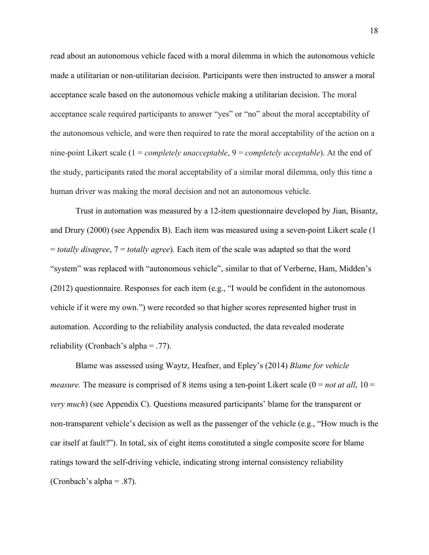read about an autonomous vehicle faced with a moral dilemma in which the autonomous vehicle made a utilitarian or non-utilitarian decision. Participants were then instructed to answer a moral acceptance scale based on the autonomous vehicle making a utilitarian decision. The moral acceptance scale required participants to answer "yes" or "no" about the moral acceptability of the autonomous vehicle, and were then required to rate the moral acceptability of the action on a nine-point Likert scale (1 = *completely unacceptable*, 9 = *completely acceptable*). At the end of the study, participants rated the moral acceptability of a similar moral dilemma, only this time a human driver was making the moral decision and not an autonomous vehicle.

Trust in automation was measured by a 12-item questionnaire developed by Jian, Bisantz, and Drury (2000) (see Appendix B). Each item was measured using a seven-point Likert scale (1 = *totally disagree*, 7 = *totally agree*). Each item of the scale was adapted so that the word "system" was replaced with "autonomous vehicle", similar to that of Verberne, Ham, Midden's (2012) questionnaire. Responses for each item (e.g., "I would be confident in the autonomous vehicle if it were my own.") were recorded so that higher scores represented higher trust in automation. According to the reliability analysis conducted, the data revealed moderate reliability (Cronbach's alpha =  $.77$ ).

Blame was assessed using Waytz, Heafner, and Epley's (2014) *Blame for vehicle measure.* The measure is comprised of 8 items using a ten-point Likert scale  $(0 = not at all, 10 =$ *very much*) (see Appendix C). Questions measured participants' blame for the transparent or non-transparent vehicle's decision as well as the passenger of the vehicle (e.g., "How much is the car itself at fault?"). In total, six of eight items constituted a single composite score for blame ratings toward the self-driving vehicle, indicating strong internal consistency reliability (Cronbach's alpha =  $.87$ ).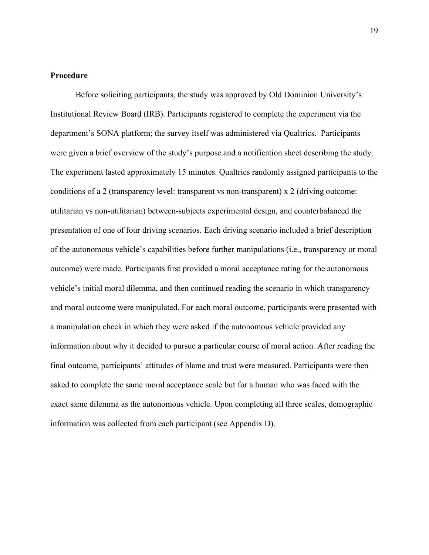# **Procedure**

Before soliciting participants, the study was approved by Old Dominion University's Institutional Review Board (IRB). Participants registered to complete the experiment via the department's SONA platform; the survey itself was administered via Qualtrics. Participants were given a brief overview of the study's purpose and a notification sheet describing the study. The experiment lasted approximately 15 minutes. Qualtrics randomly assigned participants to the conditions of a 2 (transparency level: transparent vs non-transparent) x 2 (driving outcome: utilitarian vs non-utilitarian) between-subjects experimental design, and counterbalanced the presentation of one of four driving scenarios. Each driving scenario included a brief description of the autonomous vehicle's capabilities before further manipulations (i.e., transparency or moral outcome) were made. Participants first provided a moral acceptance rating for the autonomous vehicle's initial moral dilemma, and then continued reading the scenario in which transparency and moral outcome were manipulated. For each moral outcome, participants were presented with a manipulation check in which they were asked if the autonomous vehicle provided any information about why it decided to pursue a particular course of moral action. After reading the final outcome, participants' attitudes of blame and trust were measured. Participants were then asked to complete the same moral acceptance scale but for a human who was faced with the exact same dilemma as the autonomous vehicle. Upon completing all three scales, demographic information was collected from each participant (see Appendix D).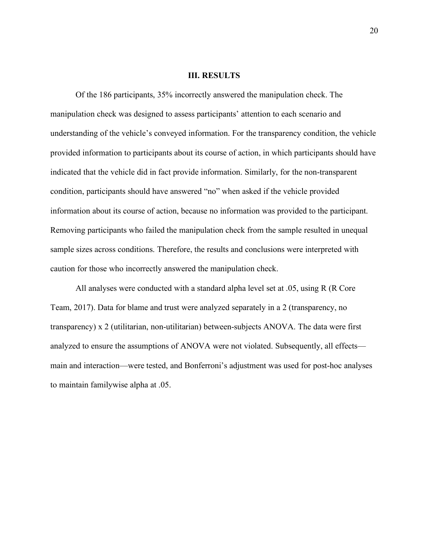#### **III. RESULTS**

Of the 186 participants, 35% incorrectly answered the manipulation check. The manipulation check was designed to assess participants' attention to each scenario and understanding of the vehicle's conveyed information. For the transparency condition, the vehicle provided information to participants about its course of action, in which participants should have indicated that the vehicle did in fact provide information. Similarly, for the non-transparent condition, participants should have answered "no" when asked if the vehicle provided information about its course of action, because no information was provided to the participant. Removing participants who failed the manipulation check from the sample resulted in unequal sample sizes across conditions. Therefore, the results and conclusions were interpreted with caution for those who incorrectly answered the manipulation check.

All analyses were conducted with a standard alpha level set at .05, using R (R Core Team, 2017). Data for blame and trust were analyzed separately in a 2 (transparency, no transparency) x 2 (utilitarian, non-utilitarian) between-subjects ANOVA. The data were first analyzed to ensure the assumptions of ANOVA were not violated. Subsequently, all effects main and interaction—were tested, and Bonferroni's adjustment was used for post-hoc analyses to maintain familywise alpha at .05.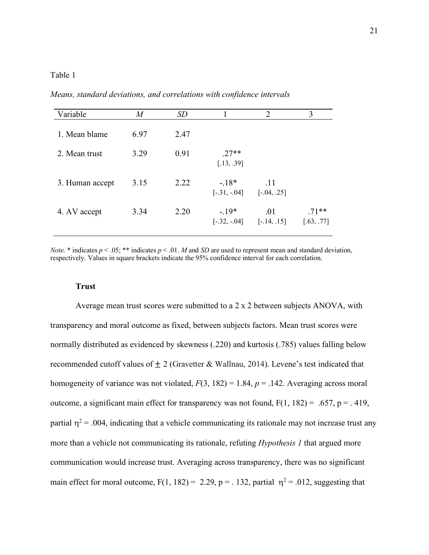# Table 1

*Means, standard deviations, and correlations with confidence intervals*

| Variable        | $\overline{M}$ | <i>SD</i> |                          | 2                    | 3                     |
|-----------------|----------------|-----------|--------------------------|----------------------|-----------------------|
| 1. Mean blame   | 6.97           | 2.47      |                          |                      |                       |
| 2. Mean trust   | 3.29           | 0.91      | $27**$<br>[.13, .39]     |                      |                       |
| 3. Human accept | 3.15           | 2.22      | $-18*$<br>$[-.31, -.04]$ | .11<br>$[-.04, .25]$ |                       |
| 4. AV accept    | 3.34           | 2.20      | $-19*$<br>$[-.32, -.04]$ | .01<br>$[-.14, .15]$ | $.71**$<br>[.63, .77] |

*Note.* \* indicates  $p < .05$ ; \*\* indicates  $p < .01$ . *M* and *SD* are used to represent mean and standard deviation, respectively. Values in square brackets indicate the 95% confidence interval for each correlation.

# **Trust**

Average mean trust scores were submitted to a 2 x 2 between subjects ANOVA, with transparency and moral outcome as fixed, between subjects factors. Mean trust scores were normally distributed as evidenced by skewness (.220) and kurtosis (.785) values falling below recommended cutoff values of  $\pm 2$  (Gravetter & Wallnau, 2014). Levene's test indicated that homogeneity of variance was not violated,  $F(3, 182) = 1.84$ ,  $p = .142$ . Averaging across moral outcome, a significant main effect for transparency was not found,  $F(1, 182) = .657$ ,  $p = .419$ , partial  $\eta^2$  = .004, indicating that a vehicle communicating its rationale may not increase trust any more than a vehicle not communicating its rationale, refuting *Hypothesis 1* that argued more communication would increase trust. Averaging across transparency, there was no significant main effect for moral outcome,  $F(1, 182) = 2.29$ ,  $p = 0.132$ , partial  $p^2 = 0.012$ , suggesting that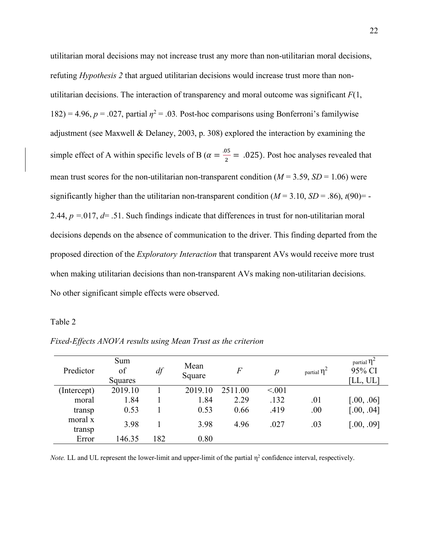utilitarian moral decisions may not increase trust any more than non-utilitarian moral decisions, refuting *Hypothesis 2* that argued utilitarian decisions would increase trust more than nonutilitarian decisions. The interaction of transparency and moral outcome was significant *F*(1, 182) = 4.96,  $p = 0.027$ , partial  $\eta^2 = 0.03$ . Post-hoc comparisons using Bonferroni's familywise adjustment (see Maxwell & Delaney, 2003, p. 308) explored the interaction by examining the simple effect of A within specific levels of B ( $\alpha = \frac{.05}{2} = .025$ ). Post hoc analyses revealed that mean trust scores for the non-utilitarian non-transparent condition  $(M = 3.59, SD = 1.06)$  were significantly higher than the utilitarian non-transparent condition  $(M = 3.10, SD = .86)$ ,  $t(90) = -$ 2.44, *p =.*017, *d*= .51. Such findings indicate that differences in trust for non-utilitarian moral decisions depends on the absence of communication to the driver. This finding departed from the proposed direction of the *Exploratory Interaction* that transparent AVs would receive more trust when making utilitarian decisions than non-transparent AVs making non-utilitarian decisions. No other significant simple effects were observed.

# Table 2

| Predictor         | Sum<br>of<br>Squares | df  | Mean<br>Square | $\,F$   | $\boldsymbol{p}$ | partial $\eta^2$ | partial $\eta^2$<br>95% CI<br>[LL, UL] |
|-------------------|----------------------|-----|----------------|---------|------------------|------------------|----------------------------------------|
| (Intercept)       | 2019.10              |     | 2019.10        | 2511.00 | < 0.01           |                  |                                        |
| moral             | 1.84                 |     | 1.84           | 2.29    | .132             | .01              | [.00, .06]                             |
| transp            | 0.53                 |     | 0.53           | 0.66    | .419             | .00              | [.00, .04]                             |
| moral x<br>transp | 3.98                 |     | 3.98           | 4.96    | .027             | .03              | [.00, .09]                             |
| Error             | 146.35               | 182 | 0.80           |         |                  |                  |                                        |

*Fixed-Effects ANOVA results using Mean Trust as the criterion*

*Note.* LL and UL represent the lower-limit and upper-limit of the partial  $\eta^2$  confidence interval, respectively.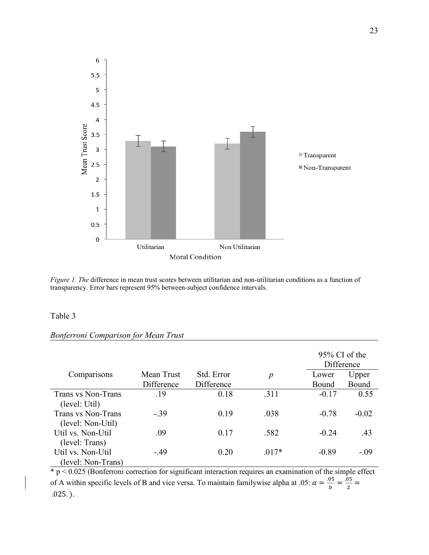

*Figure 1. The difference in mean trust scores between utilitarian and non-utilitarian conditions as a function of* transparency. Error bars represent 95% between-subject confidence intervals.

# Table 3

|                    |            |            |                  |         | $95\%$ CI of the<br>Difference |
|--------------------|------------|------------|------------------|---------|--------------------------------|
| Comparisons        | Mean Trust | Std. Error | $\boldsymbol{p}$ | Lower   | Upper                          |
|                    | Difference | Difference |                  | Bound   | Bound                          |
| Trans vs Non-Trans | .19        | 0.18       | .311             | $-0.17$ | 0.55                           |
| (level: Util)      |            |            |                  |         |                                |
| Trans vs Non-Trans | $-.39$     | 0.19       | .038             | $-0.78$ | $-0.02$                        |
| (level: Non-Util)  |            |            |                  |         |                                |
| Util vs. Non-Util  | .09        | 0.17       | .582             | $-0.24$ | .43                            |
| (level: Trans)     |            |            |                  |         |                                |
| Util vs. Non-Util  | $-49$      | 0.20       | $.017*$          | $-0.89$ | $-.09$                         |
| (level: Non-Trans) |            |            |                  |         |                                |

# *Bonferroni Comparison for Mean Trust*

 $\frac{1}{2}$  p < 0.025 (Bonferroni correction for significant interaction requires an examination of the simple effect of A within specific levels of B and vice versa. To maintain familywise alpha at .05:  $\alpha = \frac{.05}{b} = \frac{.05}{2}$ .025. ).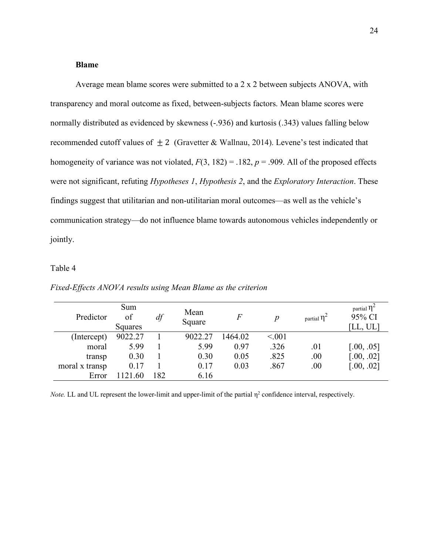### **Blame**

Average mean blame scores were submitted to a 2 x 2 between subjects ANOVA, with transparency and moral outcome as fixed, between-subjects factors. Mean blame scores were normally distributed as evidenced by skewness (-.936) and kurtosis (.343) values falling below recommended cutoff values of  $\pm 2$  (Gravetter & Wallnau, 2014). Levene's test indicated that homogeneity of variance was not violated,  $F(3, 182) = .182$ ,  $p = .909$ . All of the proposed effects were not significant, refuting *Hypotheses 1*, *Hypothesis 2*, and the *Exploratory Interaction*. These findings suggest that utilitarian and non-utilitarian moral outcomes—as well as the vehicle's communication strategy—do not influence blame towards autonomous vehicles independently or jointly.

# Table 4

| Predictor      | Sum<br>of<br>Squares | df  | Mean<br>Square | $\overline{F}$ | р      | partial $\eta^2$ | partial $\eta^2$<br>95% CI<br>[LL, UL] |
|----------------|----------------------|-----|----------------|----------------|--------|------------------|----------------------------------------|
| (Intercept)    | 9022.27              |     | 9022.27        | 1464.02        | < 0.01 |                  |                                        |
| moral          | 5.99                 |     | 5.99           | 0.97           | .326   | .01              | [.00, .05]                             |
| transp         | 0.30                 |     | 0.30           | 0.05           | .825   | .00              | [.00, .02]                             |
| moral x transp | 0.17                 |     | 0.17           | 0.03           | .867   | .00              | [.00, .02]                             |
| Error          | 121<br>-60           | 182 | 6.16           |                |        |                  |                                        |

*Fixed-Effects ANOVA results using Mean Blame as the criterion*

*Note.* LL and UL represent the lower-limit and upper-limit of the partial  $\eta^2$  confidence interval, respectively.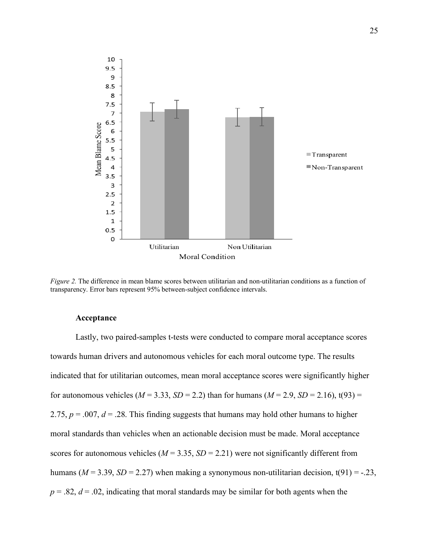

*Figure 2.* The difference in mean blame scores between utilitarian and non-utilitarian conditions as a function of transparency. Error bars represent 95% between-subject confidence intervals.

# **Acceptance**

Lastly, two paired-samples t-tests were conducted to compare moral acceptance scores towards human drivers and autonomous vehicles for each moral outcome type. The results indicated that for utilitarian outcomes, mean moral acceptance scores were significantly higher for autonomous vehicles ( $M = 3.33$ ,  $SD = 2.2$ ) than for humans ( $M = 2.9$ ,  $SD = 2.16$ ), t(93) = 2.75,  $p = 0.007$ ,  $d = 0.28$ . This finding suggests that humans may hold other humans to higher moral standards than vehicles when an actionable decision must be made. Moral acceptance scores for autonomous vehicles ( $M = 3.35$ ,  $SD = 2.21$ ) were not significantly different from humans ( $M = 3.39$ ,  $SD = 2.27$ ) when making a synonymous non-utilitarian decision,  $t(91) = -.23$ ,  $p = 0.82$ ,  $d = 0.02$ , indicating that moral standards may be similar for both agents when the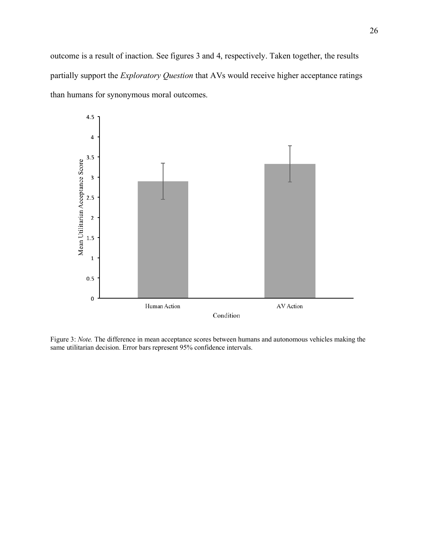outcome is a result of inaction. See figures 3 and 4, respectively. Taken together, the results partially support the *Exploratory Question* that AVs would receive higher acceptance ratings than humans for synonymous moral outcomes.



Figure 3: *Note.* The difference in mean acceptance scores between humans and autonomous vehicles making the same utilitarian decision. Error bars represent 95% confidence intervals.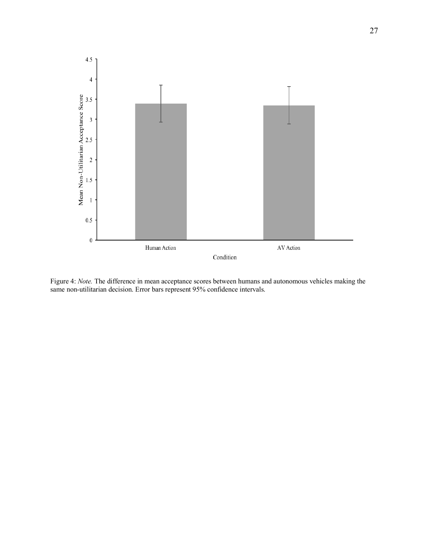

Figure 4: *Note.* The difference in mean acceptance scores between humans and autonomous vehicles making the same non-utilitarian decision. Error bars represent 95% confidence intervals.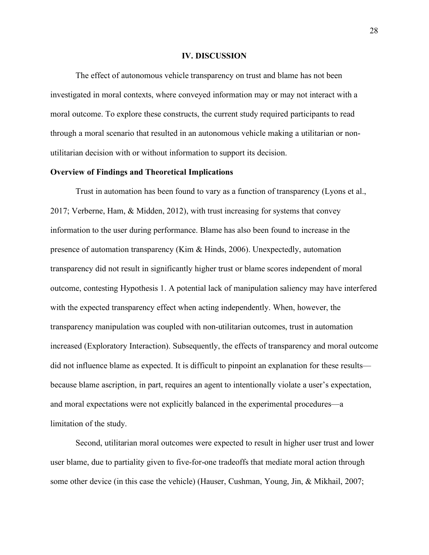#### **IV. DISCUSSION**

The effect of autonomous vehicle transparency on trust and blame has not been investigated in moral contexts, where conveyed information may or may not interact with a moral outcome. To explore these constructs, the current study required participants to read through a moral scenario that resulted in an autonomous vehicle making a utilitarian or nonutilitarian decision with or without information to support its decision.

### **Overview of Findings and Theoretical Implications**

Trust in automation has been found to vary as a function of transparency (Lyons et al., 2017; Verberne, Ham, & Midden, 2012), with trust increasing for systems that convey information to the user during performance. Blame has also been found to increase in the presence of automation transparency (Kim & Hinds, 2006). Unexpectedly, automation transparency did not result in significantly higher trust or blame scores independent of moral outcome, contesting Hypothesis 1. A potential lack of manipulation saliency may have interfered with the expected transparency effect when acting independently. When, however, the transparency manipulation was coupled with non-utilitarian outcomes, trust in automation increased (Exploratory Interaction). Subsequently, the effects of transparency and moral outcome did not influence blame as expected. It is difficult to pinpoint an explanation for these results because blame ascription, in part, requires an agent to intentionally violate a user's expectation, and moral expectations were not explicitly balanced in the experimental procedures—a limitation of the study.

Second, utilitarian moral outcomes were expected to result in higher user trust and lower user blame, due to partiality given to five-for-one tradeoffs that mediate moral action through some other device (in this case the vehicle) (Hauser, Cushman, Young, Jin, & Mikhail, 2007;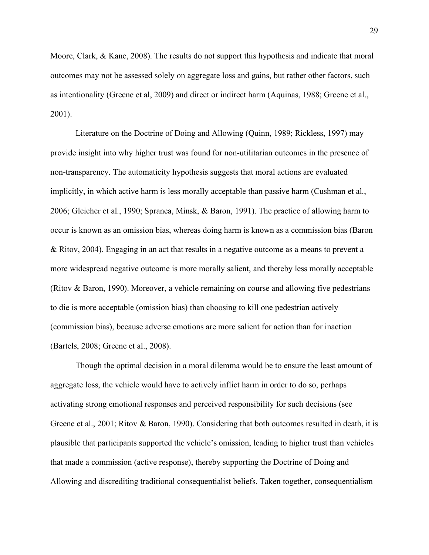Moore, Clark, & Kane, 2008). The results do not support this hypothesis and indicate that moral outcomes may not be assessed solely on aggregate loss and gains, but rather other factors, such as intentionality (Greene et al, 2009) and direct or indirect harm (Aquinas, 1988; Greene et al., 2001).

Literature on the Doctrine of Doing and Allowing (Quinn, 1989; Rickless, 1997) may provide insight into why higher trust was found for non-utilitarian outcomes in the presence of non-transparency. The automaticity hypothesis suggests that moral actions are evaluated implicitly, in which active harm is less morally acceptable than passive harm (Cushman et al., 2006; Gleicher et al., 1990; Spranca, Minsk, & Baron, 1991). The practice of allowing harm to occur is known as an omission bias, whereas doing harm is known as a commission bias (Baron & Ritov, 2004). Engaging in an act that results in a negative outcome as a means to prevent a more widespread negative outcome is more morally salient, and thereby less morally acceptable (Ritov & Baron, 1990). Moreover, a vehicle remaining on course and allowing five pedestrians to die is more acceptable (omission bias) than choosing to kill one pedestrian actively (commission bias), because adverse emotions are more salient for action than for inaction (Bartels, 2008; Greene et al., 2008).

Though the optimal decision in a moral dilemma would be to ensure the least amount of aggregate loss, the vehicle would have to actively inflict harm in order to do so, perhaps activating strong emotional responses and perceived responsibility for such decisions (see Greene et al., 2001; Ritov & Baron, 1990). Considering that both outcomes resulted in death, it is plausible that participants supported the vehicle's omission, leading to higher trust than vehicles that made a commission (active response), thereby supporting the Doctrine of Doing and Allowing and discrediting traditional consequentialist beliefs. Taken together, consequentialism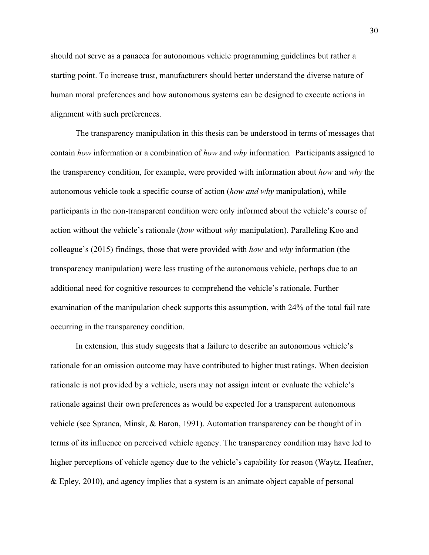should not serve as a panacea for autonomous vehicle programming guidelines but rather a starting point. To increase trust, manufacturers should better understand the diverse nature of human moral preferences and how autonomous systems can be designed to execute actions in alignment with such preferences.

The transparency manipulation in this thesis can be understood in terms of messages that contain *how* information or a combination of *how* and *why* information. Participants assigned to the transparency condition, for example, were provided with information about *how* and *why* the autonomous vehicle took a specific course of action (*how and why* manipulation), while participants in the non-transparent condition were only informed about the vehicle's course of action without the vehicle's rationale (*how* without *why* manipulation). Paralleling Koo and colleague's (2015) findings, those that were provided with *how* and *why* information (the transparency manipulation) were less trusting of the autonomous vehicle, perhaps due to an additional need for cognitive resources to comprehend the vehicle's rationale. Further examination of the manipulation check supports this assumption, with 24% of the total fail rate occurring in the transparency condition.

In extension, this study suggests that a failure to describe an autonomous vehicle's rationale for an omission outcome may have contributed to higher trust ratings. When decision rationale is not provided by a vehicle, users may not assign intent or evaluate the vehicle's rationale against their own preferences as would be expected for a transparent autonomous vehicle (see Spranca, Minsk, & Baron, 1991). Automation transparency can be thought of in terms of its influence on perceived vehicle agency. The transparency condition may have led to higher perceptions of vehicle agency due to the vehicle's capability for reason (Waytz, Heafner, & Epley, 2010), and agency implies that a system is an animate object capable of personal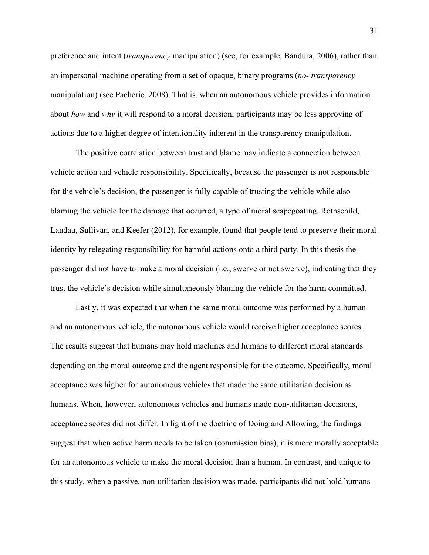preference and intent (*transparency* manipulation) (see, for example, Bandura, 2006), rather than an impersonal machine operating from a set of opaque, binary programs (*no- transparency* manipulation) (see Pacherie, 2008). That is, when an autonomous vehicle provides information about *how* and *why* it will respond to a moral decision, participants may be less approving of actions due to a higher degree of intentionality inherent in the transparency manipulation.

The positive correlation between trust and blame may indicate a connection between vehicle action and vehicle responsibility. Specifically, because the passenger is not responsible for the vehicle's decision, the passenger is fully capable of trusting the vehicle while also blaming the vehicle for the damage that occurred, a type of moral scapegoating. Rothschild, Landau, Sullivan, and Keefer (2012), for example, found that people tend to preserve their moral identity by relegating responsibility for harmful actions onto a third party. In this thesis the passenger did not have to make a moral decision (i.e., swerve or not swerve), indicating that they trust the vehicle's decision while simultaneously blaming the vehicle for the harm committed.

Lastly, it was expected that when the same moral outcome was performed by a human and an autonomous vehicle, the autonomous vehicle would receive higher acceptance scores. The results suggest that humans may hold machines and humans to different moral standards depending on the moral outcome and the agent responsible for the outcome. Specifically, moral acceptance was higher for autonomous vehicles that made the same utilitarian decision as humans. When, however, autonomous vehicles and humans made non-utilitarian decisions, acceptance scores did not differ. In light of the doctrine of Doing and Allowing, the findings suggest that when active harm needs to be taken (commission bias), it is more morally acceptable for an autonomous vehicle to make the moral decision than a human. In contrast, and unique to this study, when a passive, non-utilitarian decision was made, participants did not hold humans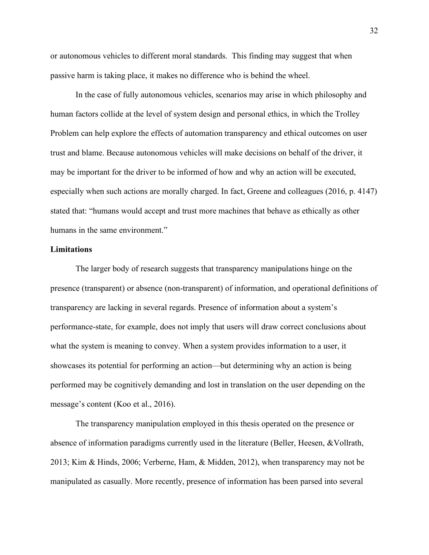or autonomous vehicles to different moral standards. This finding may suggest that when passive harm is taking place, it makes no difference who is behind the wheel.

In the case of fully autonomous vehicles, scenarios may arise in which philosophy and human factors collide at the level of system design and personal ethics, in which the Trolley Problem can help explore the effects of automation transparency and ethical outcomes on user trust and blame. Because autonomous vehicles will make decisions on behalf of the driver, it may be important for the driver to be informed of how and why an action will be executed, especially when such actions are morally charged. In fact, Greene and colleagues (2016, p. 4147) stated that: "humans would accept and trust more machines that behave as ethically as other humans in the same environment."

## **Limitations**

The larger body of research suggests that transparency manipulations hinge on the presence (transparent) or absence (non-transparent) of information, and operational definitions of transparency are lacking in several regards. Presence of information about a system's performance-state, for example, does not imply that users will draw correct conclusions about what the system is meaning to convey. When a system provides information to a user, it showcases its potential for performing an action—but determining why an action is being performed may be cognitively demanding and lost in translation on the user depending on the message's content (Koo et al., 2016).

The transparency manipulation employed in this thesis operated on the presence or absence of information paradigms currently used in the literature (Beller, Heesen, &Vollrath, 2013; Kim & Hinds, 2006; Verberne, Ham, & Midden, 2012), when transparency may not be manipulated as casually. More recently, presence of information has been parsed into several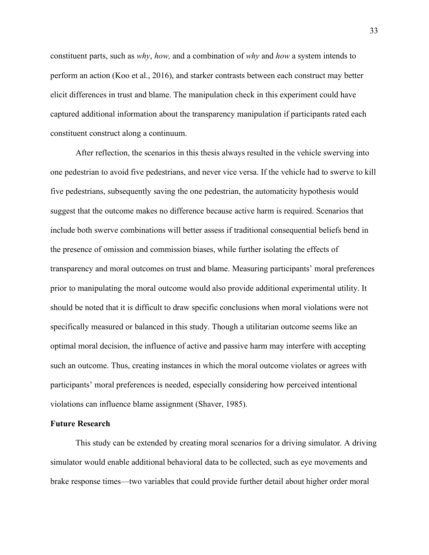constituent parts, such as *why*, *how,* and a combination of *why* and *how* a system intends to perform an action (Koo et al., 2016), and starker contrasts between each construct may better elicit differences in trust and blame. The manipulation check in this experiment could have captured additional information about the transparency manipulation if participants rated each constituent construct along a continuum.

After reflection, the scenarios in this thesis always resulted in the vehicle swerving into one pedestrian to avoid five pedestrians, and never vice versa. If the vehicle had to swerve to kill five pedestrians, subsequently saving the one pedestrian, the automaticity hypothesis would suggest that the outcome makes no difference because active harm is required. Scenarios that include both swerve combinations will better assess if traditional consequential beliefs bend in the presence of omission and commission biases, while further isolating the effects of transparency and moral outcomes on trust and blame. Measuring participants' moral preferences prior to manipulating the moral outcome would also provide additional experimental utility. It should be noted that it is difficult to draw specific conclusions when moral violations were not specifically measured or balanced in this study. Though a utilitarian outcome seems like an optimal moral decision, the influence of active and passive harm may interfere with accepting such an outcome. Thus, creating instances in which the moral outcome violates or agrees with participants' moral preferences is needed, especially considering how perceived intentional violations can influence blame assignment (Shaver, 1985).

## **Future Research**

This study can be extended by creating moral scenarios for a driving simulator. A driving simulator would enable additional behavioral data to be collected, such as eye movements and brake response times—two variables that could provide further detail about higher order moral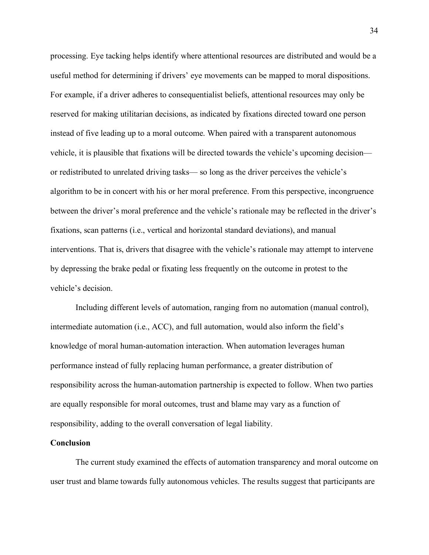processing. Eye tacking helps identify where attentional resources are distributed and would be a useful method for determining if drivers' eye movements can be mapped to moral dispositions. For example, if a driver adheres to consequentialist beliefs, attentional resources may only be reserved for making utilitarian decisions, as indicated by fixations directed toward one person instead of five leading up to a moral outcome. When paired with a transparent autonomous vehicle, it is plausible that fixations will be directed towards the vehicle's upcoming decision or redistributed to unrelated driving tasks— so long as the driver perceives the vehicle's algorithm to be in concert with his or her moral preference. From this perspective, incongruence between the driver's moral preference and the vehicle's rationale may be reflected in the driver's fixations, scan patterns (i.e., vertical and horizontal standard deviations), and manual interventions. That is, drivers that disagree with the vehicle's rationale may attempt to intervene by depressing the brake pedal or fixating less frequently on the outcome in protest to the vehicle's decision.

Including different levels of automation, ranging from no automation (manual control), intermediate automation (i.e., ACC), and full automation, would also inform the field's knowledge of moral human-automation interaction. When automation leverages human performance instead of fully replacing human performance, a greater distribution of responsibility across the human-automation partnership is expected to follow. When two parties are equally responsible for moral outcomes, trust and blame may vary as a function of responsibility, adding to the overall conversation of legal liability.

## **Conclusion**

The current study examined the effects of automation transparency and moral outcome on user trust and blame towards fully autonomous vehicles. The results suggest that participants are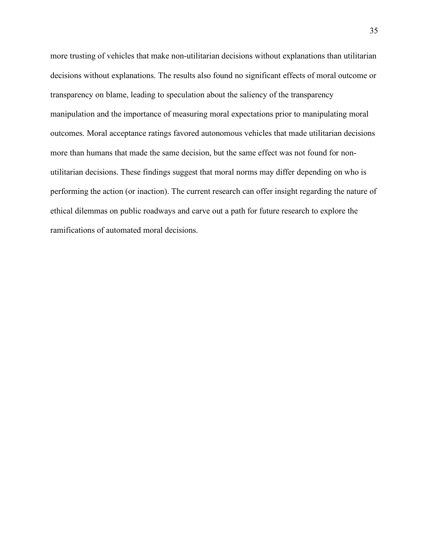more trusting of vehicles that make non-utilitarian decisions without explanations than utilitarian decisions without explanations. The results also found no significant effects of moral outcome or transparency on blame, leading to speculation about the saliency of the transparency manipulation and the importance of measuring moral expectations prior to manipulating moral outcomes. Moral acceptance ratings favored autonomous vehicles that made utilitarian decisions more than humans that made the same decision, but the same effect was not found for nonutilitarian decisions. These findings suggest that moral norms may differ depending on who is performing the action (or inaction). The current research can offer insight regarding the nature of ethical dilemmas on public roadways and carve out a path for future research to explore the ramifications of automated moral decisions.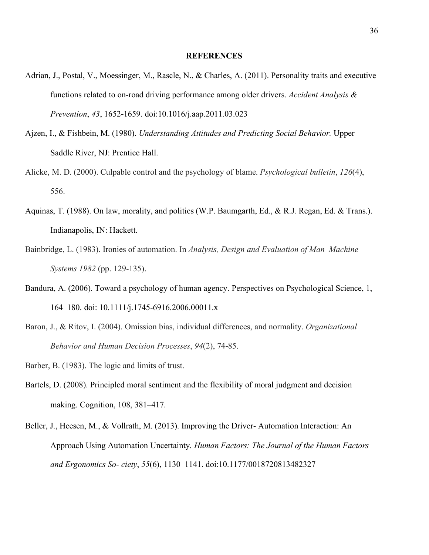#### **REFERENCES**

- Adrian, J., Postal, V., Moessinger, M., Rascle, N., & Charles, A. (2011). Personality traits and executive functions related to on-road driving performance among older drivers. *Accident Analysis & Prevention*, *43*, 1652-1659. doi:10.1016/j.aap.2011.03.023
- Ajzen, I., & Fishbein, M. (1980). *Understanding Attitudes and Predicting Social Behavior.* Upper Saddle River, NJ: Prentice Hall.
- Alicke, M. D. (2000). Culpable control and the psychology of blame. *Psychological bulletin*, *126*(4), 556.
- Aquinas, T. (1988). On law, morality, and politics (W.P. Baumgarth, Ed., & R.J. Regan, Ed. & Trans.). Indianapolis, IN: Hackett.
- Bainbridge, L. (1983). Ironies of automation. In *Analysis, Design and Evaluation of Man–Machine Systems 1982* (pp. 129-135).
- Bandura, A. (2006). Toward a psychology of human agency. Perspectives on Psychological Science, 1, 164–180. doi: 10.1111/j.1745-6916.2006.00011.x
- Baron, J., & Ritov, I. (2004). Omission bias, individual differences, and normality. *Organizational Behavior and Human Decision Processes*, *94*(2), 74-85.
- Barber, B. (1983). The logic and limits of trust.
- Bartels, D. (2008). Principled moral sentiment and the flexibility of moral judgment and decision making. Cognition, 108, 381–417.
- Beller, J., Heesen, M., & Vollrath, M. (2013). Improving the Driver- Automation Interaction: An Approach Using Automation Uncertainty. *Human Factors: The Journal of the Human Factors and Ergonomics So- ciety*, *55*(6), 1130–1141. doi:10.1177/0018720813482327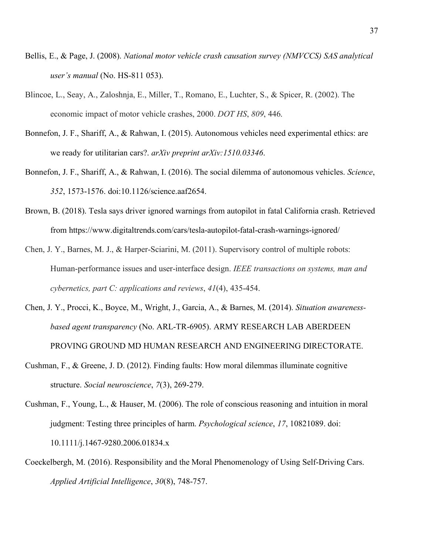- Bellis, E., & Page, J. (2008). *National motor vehicle crash causation survey (NMVCCS) SAS analytical user's manual* (No. HS-811 053).
- Blincoe, L., Seay, A., Zaloshnja, E., Miller, T., Romano, E., Luchter, S., & Spicer, R. (2002). The economic impact of motor vehicle crashes, 2000. *DOT HS*, *809*, 446.
- Bonnefon, J. F., Shariff, A., & Rahwan, I. (2015). Autonomous vehicles need experimental ethics: are we ready for utilitarian cars?. *arXiv preprint arXiv:1510.03346*.
- Bonnefon, J. F., Shariff, A., & Rahwan, I. (2016). The social dilemma of autonomous vehicles. *Science*, *352*, 1573-1576. doi:10.1126/science.aaf2654.
- Brown, B. (2018). Tesla says driver ignored warnings from autopilot in fatal California crash. Retrieved from https://www.digitaltrends.com/cars/tesla-autopilot-fatal-crash-warnings-ignored/
- Chen, J. Y., Barnes, M. J., & Harper-Sciarini, M. (2011). Supervisory control of multiple robots: Human-performance issues and user-interface design. *IEEE transactions on systems, man and cybernetics, part C: applications and reviews*, *41*(4), 435-454.
- Chen, J. Y., Procci, K., Boyce, M., Wright, J., Garcia, A., & Barnes, M. (2014). *Situation awarenessbased agent transparency* (No. ARL-TR-6905). ARMY RESEARCH LAB ABERDEEN PROVING GROUND MD HUMAN RESEARCH AND ENGINEERING DIRECTORATE.
- Cushman, F., & Greene, J. D. (2012). Finding faults: How moral dilemmas illuminate cognitive structure. *Social neuroscience*, *7*(3), 269-279.
- Cushman, F., Young, L., & Hauser, M. (2006). The role of conscious reasoning and intuition in moral judgment: Testing three principles of harm. *Psychological science*, *17*, 10821089. doi: 10.1111/j.1467-9280.2006.01834.x
- Coeckelbergh, M. (2016). Responsibility and the Moral Phenomenology of Using Self-Driving Cars. *Applied Artificial Intelligence*, *30*(8), 748-757.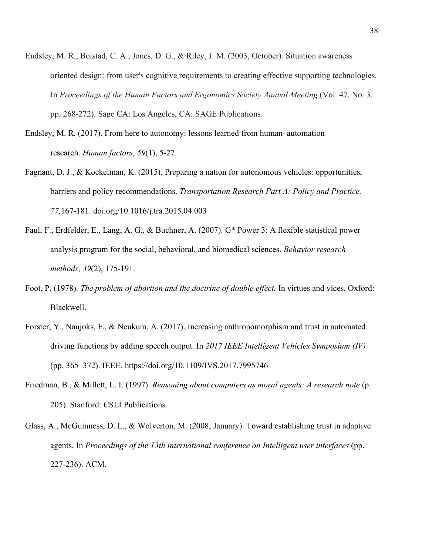- Endsley, M. R., Bolstad, C. A., Jones, D. G., & Riley, J. M. (2003, October). Situation awareness oriented design: from user's cognitive requirements to creating effective supporting technologies. In *Proceedings of the Human Factors and Ergonomics Society Annual Meeting* (Vol. 47, No. 3, pp. 268-272). Sage CA: Los Angeles, CA: SAGE Publications.
- Endsley, M. R. (2017). From here to autonomy: lessons learned from human–automation research. *Human factors*, *59*(1), 5-27.
- Fagnant, D. J., & Kockelman, K. (2015). Preparing a nation for autonomous vehicles: opportunities, barriers and policy recommendations. *Transportation Research Part A: Policy and Practice, 77,*167-181. doi.org/10.1016/j.tra.2015.04.003
- Faul, F., Erdfelder, E., Lang, A. G., & Buchner, A. (2007). G\* Power 3: A flexible statistical power analysis program for the social, behavioral, and biomedical sciences. *Behavior research methods*, *39*(2), 175-191.
- Foot, P. (1978). *The problem of abortion and the doctrine of double effect*. In virtues and vices. Oxford: Blackwell.
- Forster, Y., Naujoks, F., & Neukum, A. (2017). Increasing anthropomorphism and trust in automated driving functions by adding speech output. In *2017 IEEE Intelligent Vehicles Symposium (IV)*  (pp. 365–372). IEEE. https://doi.org/10.1109/IVS.2017.7995746
- Friedman, B., & Millett, L. I. (1997). *Reasoning about computers as moral agents: A research note* (p. 205). Stanford: CSLI Publications.
- Glass, A., McGuinness, D. L., & Wolverton, M. (2008, January). Toward establishing trust in adaptive agents. In *Proceedings of the 13th international conference on Intelligent user interfaces* (pp. 227-236). ACM.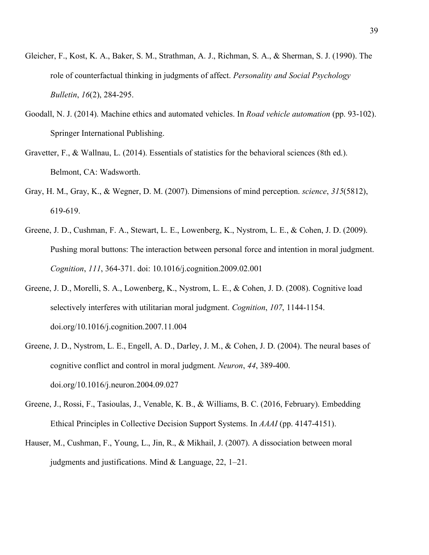- Gleicher, F., Kost, K. A., Baker, S. M., Strathman, A. J., Richman, S. A., & Sherman, S. J. (1990). The role of counterfactual thinking in judgments of affect. *Personality and Social Psychology Bulletin*, *16*(2), 284-295.
- Goodall, N. J. (2014). Machine ethics and automated vehicles. In *Road vehicle automation* (pp. 93-102). Springer International Publishing.
- Gravetter, F., & Wallnau, L. (2014). Essentials of statistics for the behavioral sciences (8th ed.). Belmont, CA: Wadsworth.
- Gray, H. M., Gray, K., & Wegner, D. M. (2007). Dimensions of mind perception. *science*, *315*(5812), 619-619.
- Greene, J. D., Cushman, F. A., Stewart, L. E., Lowenberg, K., Nystrom, L. E., & Cohen, J. D. (2009). Pushing moral buttons: The interaction between personal force and intention in moral judgment. *Cognition*, *111*, 364-371. doi: 10.1016/j.cognition.2009.02.001
- Greene, J. D., Morelli, S. A., Lowenberg, K., Nystrom, L. E., & Cohen, J. D. (2008). Cognitive load selectively interferes with utilitarian moral judgment. *Cognition*, *107*, 1144-1154. doi.org/10.1016/j.cognition.2007.11.004
- Greene, J. D., Nystrom, L. E., Engell, A. D., Darley, J. M., & Cohen, J. D. (2004). The neural bases of cognitive conflict and control in moral judgment. *Neuron*, *44*, 389-400. doi.org/10.1016/j.neuron.2004.09.027
- Greene, J., Rossi, F., Tasioulas, J., Venable, K. B., & Williams, B. C. (2016, February). Embedding Ethical Principles in Collective Decision Support Systems. In *AAAI* (pp. 4147-4151).
- Hauser, M., Cushman, F., Young, L., Jin, R., & Mikhail, J. (2007). A dissociation between moral judgments and justifications. Mind & Language, 22, 1–21.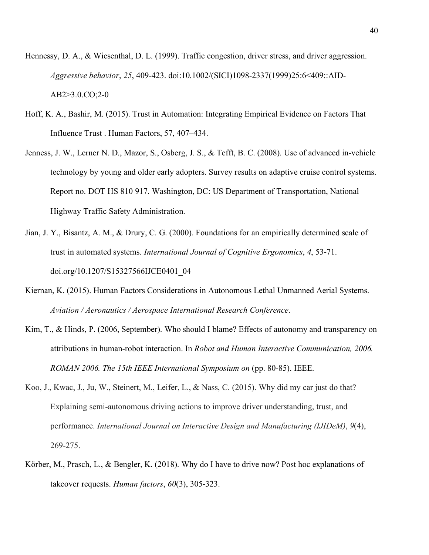- Hennessy, D. A., & Wiesenthal, D. L. (1999). Traffic congestion, driver stress, and driver aggression. *Aggressive behavior*, *25*, 409-423. doi:10.1002/(SICI)1098-2337(1999)25:6<409::AID-AB2>3.0.CO;2-0
- Hoff, K. A., Bashir, M. (2015). Trust in Automation: Integrating Empirical Evidence on Factors That Influence Trust . Human Factors, 57, 407–434.
- Jenness, J. W., Lerner N. D., Mazor, S., Osberg, J. S., & Tefft, B. C. (2008). Use of advanced in-vehicle technology by young and older early adopters. Survey results on adaptive cruise control systems. Report no. DOT HS 810 917. Washington, DC: US Department of Transportation, National Highway Traffic Safety Administration.
- Jian, J. Y., Bisantz, A. M., & Drury, C. G. (2000). Foundations for an empirically determined scale of trust in automated systems. *International Journal of Cognitive Ergonomics*, *4*, 53-71. doi.org/10.1207/S15327566IJCE0401\_04
- Kiernan, K. (2015). Human Factors Considerations in Autonomous Lethal Unmanned Aerial Systems. *Aviation / Aeronautics / Aerospace International Research Conference*.
- Kim, T., & Hinds, P. (2006, September). Who should I blame? Effects of autonomy and transparency on attributions in human-robot interaction. In *Robot and Human Interactive Communication, 2006. ROMAN 2006. The 15th IEEE International Symposium on* (pp. 80-85). IEEE.
- Koo, J., Kwac, J., Ju, W., Steinert, M., Leifer, L., & Nass, C. (2015). Why did my car just do that? Explaining semi-autonomous driving actions to improve driver understanding, trust, and performance. *International Journal on Interactive Design and Manufacturing (IJIDeM)*, *9*(4), 269-275.
- Körber, M., Prasch, L., & Bengler, K. (2018). Why do I have to drive now? Post hoc explanations of takeover requests. *Human factors*, *60*(3), 305-323.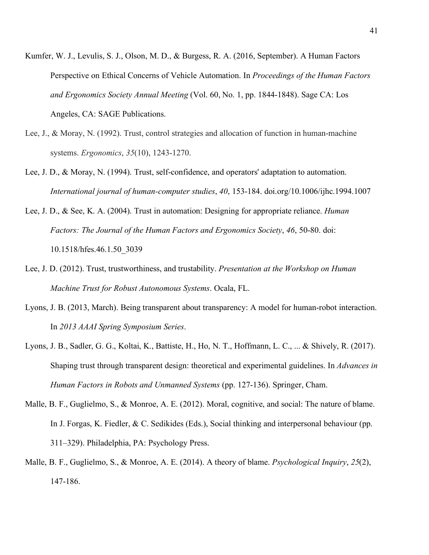- Kumfer, W. J., Levulis, S. J., Olson, M. D., & Burgess, R. A. (2016, September). A Human Factors Perspective on Ethical Concerns of Vehicle Automation. In *Proceedings of the Human Factors and Ergonomics Society Annual Meeting* (Vol. 60, No. 1, pp. 1844-1848). Sage CA: Los Angeles, CA: SAGE Publications.
- Lee, J., & Moray, N. (1992). Trust, control strategies and allocation of function in human-machine systems. *Ergonomics*, *35*(10), 1243-1270.
- Lee, J. D., & Moray, N. (1994). Trust, self-confidence, and operators' adaptation to automation. *International journal of human-computer studies*, *40*, 153-184. doi.org/10.1006/ijhc.1994.1007
- Lee, J. D., & See, K. A. (2004). Trust in automation: Designing for appropriate reliance. *Human Factors: The Journal of the Human Factors and Ergonomics Society*, *46*, 50-80. doi: 10.1518/hfes.46.1.50\_3039
- Lee, J. D. (2012). Trust, trustworthiness, and trustability. *Presentation at the Workshop on Human Machine Trust for Robust Autonomous Systems*. Ocala, FL.
- Lyons, J. B. (2013, March). Being transparent about transparency: A model for human-robot interaction. In *2013 AAAI Spring Symposium Series*.
- Lyons, J. B., Sadler, G. G., Koltai, K., Battiste, H., Ho, N. T., Hoffmann, L. C., ... & Shively, R. (2017). Shaping trust through transparent design: theoretical and experimental guidelines. In *Advances in Human Factors in Robots and Unmanned Systems* (pp. 127-136). Springer, Cham.
- Malle, B. F., Guglielmo, S., & Monroe, A. E. (2012). Moral, cognitive, and social: The nature of blame. In J. Forgas, K. Fiedler, & C. Sedikides (Eds.), Social thinking and interpersonal behaviour (pp. 311–329). Philadelphia, PA: Psychology Press.
- Malle, B. F., Guglielmo, S., & Monroe, A. E. (2014). A theory of blame. *Psychological Inquiry*, *25*(2), 147-186.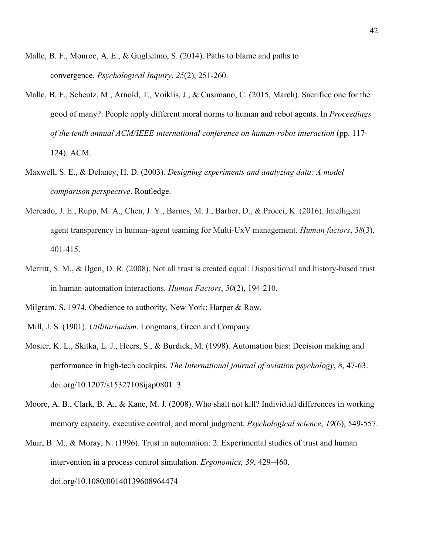- Malle, B. F., Monroe, A. E., & Guglielmo, S. (2014). Paths to blame and paths to convergence. *Psychological Inquiry*, *25*(2), 251-260.
- Malle, B. F., Scheutz, M., Arnold, T., Voiklis, J., & Cusimano, C. (2015, March). Sacrifice one for the good of many?: People apply different moral norms to human and robot agents. In *Proceedings of the tenth annual ACM/IEEE international conference on human-robot interaction* (pp. 117- 124). ACM.
- Maxwell, S. E., & Delaney, H. D. (2003). *Designing experiments and analyzing data: A model comparison perspective*. Routledge.
- Mercado, J. E., Rupp, M. A., Chen, J. Y., Barnes, M. J., Barber, D., & Procci, K. (2016). Intelligent agent transparency in human–agent teaming for Multi-UxV management. *Human factors*, *58*(3), 401-415.
- Merritt, S. M., & Ilgen, D. R. (2008). Not all trust is created equal: Dispositional and history-based trust in human-automation interactions. *Human Factors*, *50*(2), 194-210.
- Milgram, S. 1974. Obedience to authority. New York: Harper & Row.
- Mill, J. S. (1901). *Utilitarianism*. Longmans, Green and Company.
- Mosier, K. L., Skitka, L. J., Heers, S., & Burdick, M. (1998). Automation bias: Decision making and performance in high-tech cockpits. *The International journal of aviation psychology*, *8*, 47-63. doi.org/10.1207/s15327108ijap0801\_3
- Moore, A. B., Clark, B. A., & Kane, M. J. (2008). Who shalt not kill? Individual differences in working memory capacity, executive control, and moral judgment. *Psychological science*, *19*(6), 549-557.
- Muir, B. M., & Moray, N. (1996). Trust in automation: 2. Experimental studies of trust and human intervention in a process control simulation. *Ergonomics, 39*, 429–460. doi.org/10.1080/00140139608964474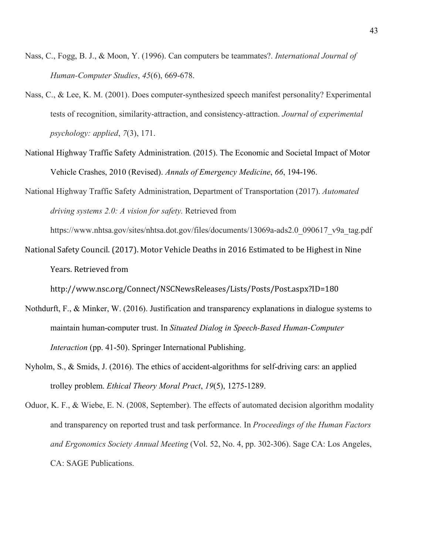- Nass, C., Fogg, B. J., & Moon, Y. (1996). Can computers be teammates?. *International Journal of Human-Computer Studies*, *45*(6), 669-678.
- Nass, C., & Lee, K. M. (2001). Does computer-synthesized speech manifest personality? Experimental tests of recognition, similarity-attraction, and consistency-attraction. *Journal of experimental psychology: applied*, *7*(3), 171.
- National Highway Traffic Safety Administration. (2015). The Economic and Societal Impact of Motor Vehicle Crashes, 2010 (Revised). *Annals of Emergency Medicine*, *66*, 194-196.
- National Highway Traffic Safety Administration, Department of Transportation (2017). *Automated driving systems 2.0: A vision for safety.* Retrieved from

https://www.nhtsa.gov/sites/nhtsa.dot.gov/files/documents/13069a-ads2.0\_090617\_v9a\_tag.pdf

National Safety Council. (2017). Motor Vehicle Deaths in 2016 Estimated to be Highest in Nine Years. Retrieved from

http://www.nsc.org/Connect/NSCNewsReleases/Lists/Posts/Post.aspx?ID=180 

- Nothdurft, F., & Minker, W. (2016). Justification and transparency explanations in dialogue systems to maintain human-computer trust. In *Situated Dialog in Speech-Based Human-Computer Interaction* (pp. 41-50). Springer International Publishing.
- Nyholm, S., & Smids, J. (2016). The ethics of accident-algorithms for self-driving cars: an applied trolley problem. *Ethical Theory Moral Pract*, *19*(5), 1275-1289.
- Oduor, K. F., & Wiebe, E. N. (2008, September). The effects of automated decision algorithm modality and transparency on reported trust and task performance. In *Proceedings of the Human Factors and Ergonomics Society Annual Meeting* (Vol. 52, No. 4, pp. 302-306). Sage CA: Los Angeles, CA: SAGE Publications.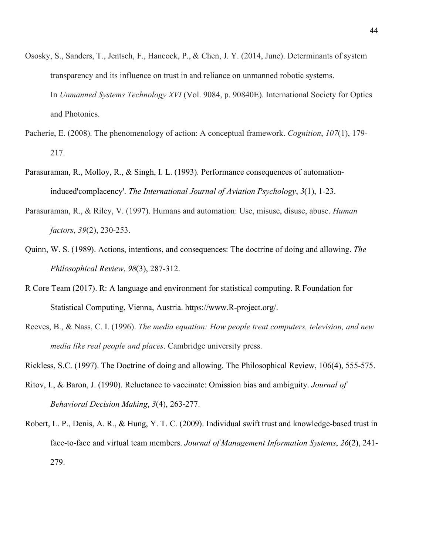- Ososky, S., Sanders, T., Jentsch, F., Hancock, P., & Chen, J. Y. (2014, June). Determinants of system transparency and its influence on trust in and reliance on unmanned robotic systems. In *Unmanned Systems Technology XVI* (Vol. 9084, p. 90840E). International Society for Optics and Photonics.
- Pacherie, E. (2008). The phenomenology of action: A conceptual framework. *Cognition*, *107*(1), 179- 217.
- Parasuraman, R., Molloy, R., & Singh, I. L. (1993). Performance consequences of automationinduced'complacency'. *The International Journal of Aviation Psychology*, *3*(1), 1-23.
- Parasuraman, R., & Riley, V. (1997). Humans and automation: Use, misuse, disuse, abuse. *Human factors*, *39*(2), 230-253.
- Quinn, W. S. (1989). Actions, intentions, and consequences: The doctrine of doing and allowing. *The Philosophical Review*, *98*(3), 287-312.
- R Core Team (2017). R: A language and environment for statistical computing. R Foundation for Statistical Computing, Vienna, Austria. https://www.R-project.org/.
- Reeves, B., & Nass, C. I. (1996). *The media equation: How people treat computers, television, and new media like real people and places*. Cambridge university press.
- Rickless, S.C. (1997). The Doctrine of doing and allowing. The Philosophical Review, 106(4), 555-575.
- Ritov, I., & Baron, J. (1990). Reluctance to vaccinate: Omission bias and ambiguity. *Journal of Behavioral Decision Making*, *3*(4), 263-277.
- Robert, L. P., Denis, A. R., & Hung, Y. T. C. (2009). Individual swift trust and knowledge-based trust in face-to-face and virtual team members. *Journal of Management Information Systems*, *26*(2), 241- 279.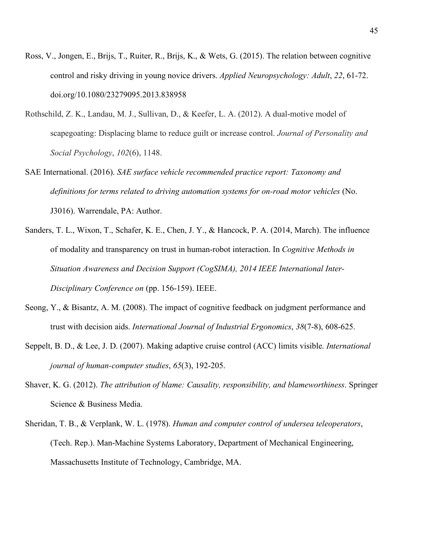- Ross, V., Jongen, E., Brijs, T., Ruiter, R., Brijs, K., & Wets, G. (2015). The relation between cognitive control and risky driving in young novice drivers. *Applied Neuropsychology: Adult*, *22*, 61-72. doi.org/10.1080/23279095.2013.838958
- Rothschild, Z. K., Landau, M. J., Sullivan, D., & Keefer, L. A. (2012). A dual-motive model of scapegoating: Displacing blame to reduce guilt or increase control. *Journal of Personality and Social Psychology*, *102*(6), 1148.
- SAE International. (2016). *SAE surface vehicle recommended practice report: Taxonomy and*  definitions for terms related to driving automation systems for on-road motor vehicles (No. J3016). Warrendale, PA: Author.
- Sanders, T. L., Wixon, T., Schafer, K. E., Chen, J. Y., & Hancock, P. A. (2014, March). The influence of modality and transparency on trust in human-robot interaction. In *Cognitive Methods in Situation Awareness and Decision Support (CogSIMA), 2014 IEEE International Inter-Disciplinary Conference on* (pp. 156-159). IEEE.
- Seong, Y., & Bisantz, A. M. (2008). The impact of cognitive feedback on judgment performance and trust with decision aids. *International Journal of Industrial Ergonomics*, *38*(7-8), 608-625.
- Seppelt, B. D., & Lee, J. D. (2007). Making adaptive cruise control (ACC) limits visible. *International journal of human-computer studies*, *65*(3), 192-205.
- Shaver, K. G. (2012). *The attribution of blame: Causality, responsibility, and blameworthiness*. Springer Science & Business Media.
- Sheridan, T. B., & Verplank, W. L. (1978). *Human and computer control of undersea teleoperators*, (Tech. Rep.). Man-Machine Systems Laboratory, Department of Mechanical Engineering, Massachusetts Institute of Technology, Cambridge, MA.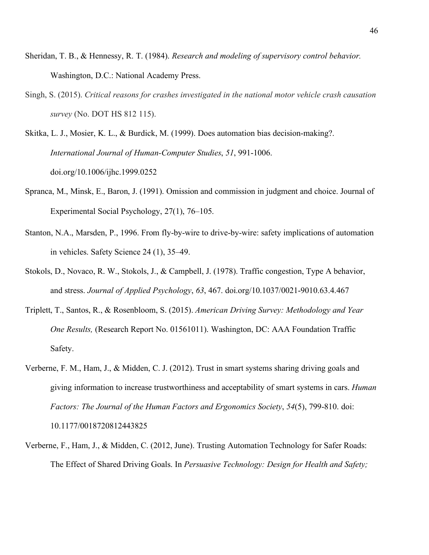- Sheridan, T. B., & Hennessy, R. T. (1984). *Research and modeling of supervisory control behavior.*  Washington, D.C.: National Academy Press.
- Singh, S. (2015). *Critical reasons for crashes investigated in the national motor vehicle crash causation survey* (No. DOT HS 812 115).

Skitka, L. J., Mosier, K. L., & Burdick, M. (1999). Does automation bias decision-making?. *International Journal of Human-Computer Studies*, *51*, 991-1006. doi.org/10.1006/ijhc.1999.0252

- Spranca, M., Minsk, E., Baron, J. (1991). Omission and commission in judgment and choice. Journal of Experimental Social Psychology, 27(1), 76–105.
- Stanton, N.A., Marsden, P., 1996. From fly-by-wire to drive-by-wire: safety implications of automation in vehicles. Safety Science 24 (1), 35–49.
- Stokols, D., Novaco, R. W., Stokols, J., & Campbell, J. (1978). Traffic congestion, Type A behavior, and stress. *Journal of Applied Psychology*, *63*, 467. doi.org/10.1037/0021-9010.63.4.467
- Triplett, T., Santos, R., & Rosenbloom, S. (2015). *American Driving Survey: Methodology and Year One Results,* (Research Report No. 01561011). Washington, DC: AAA Foundation Traffic Safety.
- Verberne, F. M., Ham, J., & Midden, C. J. (2012). Trust in smart systems sharing driving goals and giving information to increase trustworthiness and acceptability of smart systems in cars. *Human Factors: The Journal of the Human Factors and Ergonomics Society*, *54*(5), 799-810. doi: 10.1177/0018720812443825
- Verberne, F., Ham, J., & Midden, C. (2012, June). Trusting Automation Technology for Safer Roads: The Effect of Shared Driving Goals. In *Persuasive Technology: Design for Health and Safety;*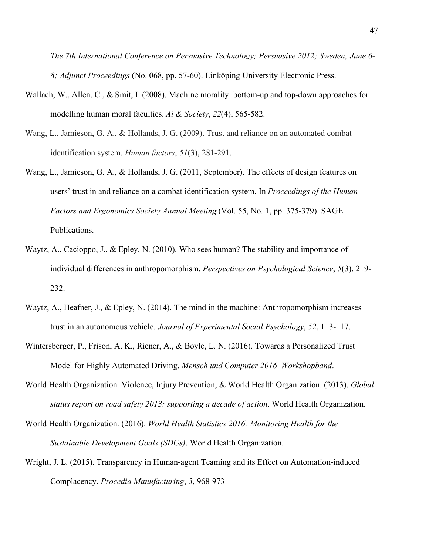*The 7th International Conference on Persuasive Technology; Persuasive 2012; Sweden; June 6- 8; Adjunct Proceedings* (No. 068, pp. 57-60). Linköping University Electronic Press.

- Wallach, W., Allen, C., & Smit, I. (2008). Machine morality: bottom-up and top-down approaches for modelling human moral faculties. *Ai & Society*, *22*(4), 565-582.
- Wang, L., Jamieson, G. A., & Hollands, J. G. (2009). Trust and reliance on an automated combat identification system. *Human factors*, *51*(3), 281-291.
- Wang, L., Jamieson, G. A., & Hollands, J. G. (2011, September). The effects of design features on users' trust in and reliance on a combat identification system. In *Proceedings of the Human Factors and Ergonomics Society Annual Meeting* (Vol. 55, No. 1, pp. 375-379). SAGE Publications.
- Waytz, A., Cacioppo, J., & Epley, N. (2010). Who sees human? The stability and importance of individual differences in anthropomorphism. *Perspectives on Psychological Science*, *5*(3), 219- 232.
- Waytz, A., Heafner, J., & Epley, N. (2014). The mind in the machine: Anthropomorphism increases trust in an autonomous vehicle. *Journal of Experimental Social Psychology*, *52*, 113-117.
- Wintersberger, P., Frison, A. K., Riener, A., & Boyle, L. N. (2016). Towards a Personalized Trust Model for Highly Automated Driving. *Mensch und Computer 2016–Workshopband*.
- World Health Organization. Violence, Injury Prevention, & World Health Organization. (2013). *Global status report on road safety 2013: supporting a decade of action*. World Health Organization.
- World Health Organization. (2016). *World Health Statistics 2016: Monitoring Health for the Sustainable Development Goals (SDGs)*. World Health Organization.
- Wright, J. L. (2015). Transparency in Human-agent Teaming and its Effect on Automation-induced Complacency. *Procedia Manufacturing*, *3*, 968-973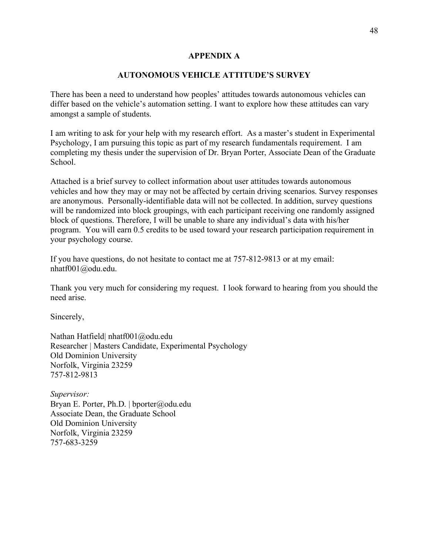## **APPENDIX A**

## **AUTONOMOUS VEHICLE ATTITUDE'S SURVEY**

There has been a need to understand how peoples' attitudes towards autonomous vehicles can differ based on the vehicle's automation setting. I want to explore how these attitudes can vary amongst a sample of students.

I am writing to ask for your help with my research effort. As a master's student in Experimental Psychology, I am pursuing this topic as part of my research fundamentals requirement. I am completing my thesis under the supervision of Dr. Bryan Porter, Associate Dean of the Graduate School.

Attached is a brief survey to collect information about user attitudes towards autonomous vehicles and how they may or may not be affected by certain driving scenarios. Survey responses are anonymous. Personally-identifiable data will not be collected. In addition, survey questions will be randomized into block groupings, with each participant receiving one randomly assigned block of questions. Therefore, I will be unable to share any individual's data with his/her program. You will earn 0.5 credits to be used toward your research participation requirement in your psychology course.

If you have questions, do not hesitate to contact me at 757-812-9813 or at my email: nhatf001@odu.edu.

Thank you very much for considering my request. I look forward to hearing from you should the need arise.

Sincerely,

Nathan Hatfield| nhatf001@odu.edu Researcher | Masters Candidate, Experimental Psychology Old Dominion University Norfolk, Virginia 23259 757-812-9813

*Supervisor:* Bryan E. Porter, Ph.D. | bporter@odu.edu Associate Dean, the Graduate School Old Dominion University Norfolk, Virginia 23259 757-683-3259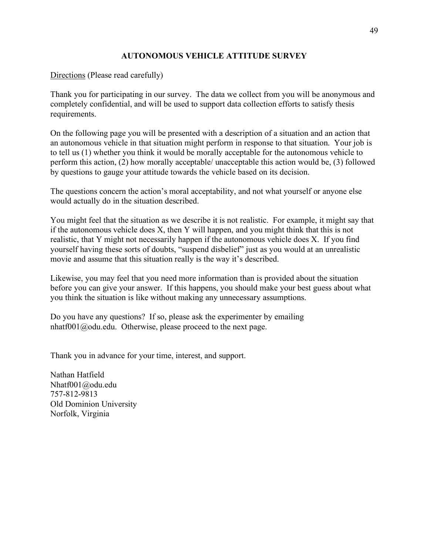# **AUTONOMOUS VEHICLE ATTITUDE SURVEY**

Directions (Please read carefully)

Thank you for participating in our survey. The data we collect from you will be anonymous and completely confidential, and will be used to support data collection efforts to satisfy thesis requirements.

On the following page you will be presented with a description of a situation and an action that an autonomous vehicle in that situation might perform in response to that situation. Your job is to tell us (1) whether you think it would be morally acceptable for the autonomous vehicle to perform this action, (2) how morally acceptable/ unacceptable this action would be, (3) followed by questions to gauge your attitude towards the vehicle based on its decision.

The questions concern the action's moral acceptability, and not what yourself or anyone else would actually do in the situation described.

You might feel that the situation as we describe it is not realistic. For example, it might say that if the autonomous vehicle does X, then Y will happen, and you might think that this is not realistic, that Y might not necessarily happen if the autonomous vehicle does X. If you find yourself having these sorts of doubts, "suspend disbelief" just as you would at an unrealistic movie and assume that this situation really is the way it's described.

Likewise, you may feel that you need more information than is provided about the situation before you can give your answer. If this happens, you should make your best guess about what you think the situation is like without making any unnecessary assumptions.

Do you have any questions? If so, please ask the experimenter by emailing nhatf001@odu.edu. Otherwise, please proceed to the next page.

Thank you in advance for your time, interest, and support.

Nathan Hatfield Nhatf001@odu.edu 757-812-9813 Old Dominion University Norfolk, Virginia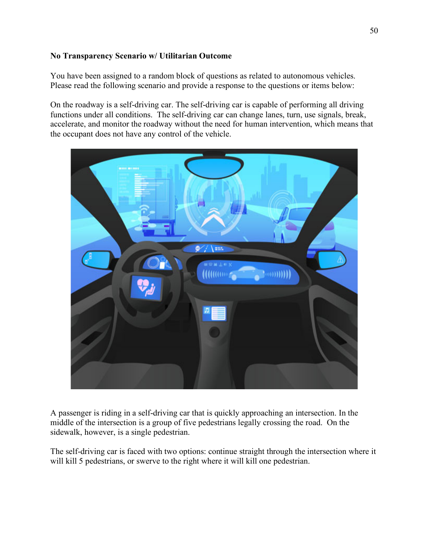# **No Transparency Scenario w/ Utilitarian Outcome**

You have been assigned to a random block of questions as related to autonomous vehicles. Please read the following scenario and provide a response to the questions or items below:

On the roadway is a self-driving car. The self-driving car is capable of performing all driving functions under all conditions. The self-driving car can change lanes, turn, use signals, break, accelerate, and monitor the roadway without the need for human intervention, which means that the occupant does not have any control of the vehicle.



A passenger is riding in a self-driving car that is quickly approaching an intersection. In the middle of the intersection is a group of five pedestrians legally crossing the road. On the sidewalk, however, is a single pedestrian.

The self-driving car is faced with two options: continue straight through the intersection where it will kill 5 pedestrians, or swerve to the right where it will kill one pedestrian.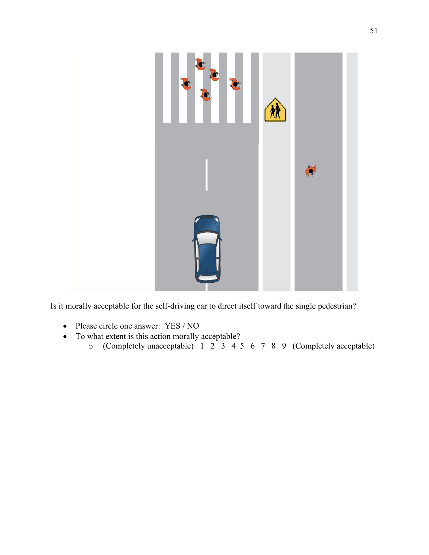

Is it morally acceptable for the self-driving car to direct itself toward the single pedestrian?

- Please circle one answer: YES / NO
- To what extent is this action morally acceptable?
	- o (Completely unacceptable) 1 2 3 4 5 6 7 8 9 (Completely acceptable)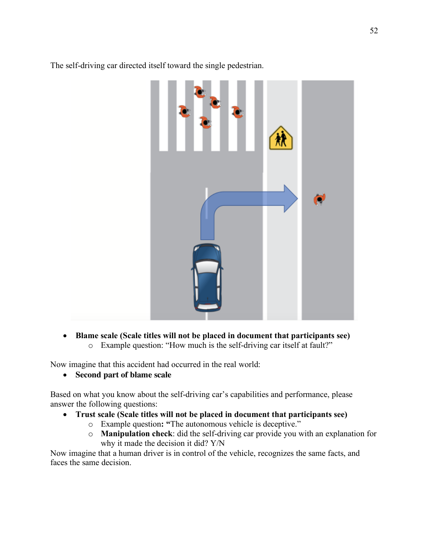The self-driving car directed itself toward the single pedestrian.

• **Blame scale (Scale titles will not be placed in document that participants see)** o Example question: "How much is the self-driving car itself at fault?"

Now imagine that this accident had occurred in the real world:

• **Second part of blame scale**

Based on what you know about the self-driving car's capabilities and performance, please answer the following questions:

- **Trust scale (Scale titles will not be placed in document that participants see)**
	- o Example question**: "**The autonomous vehicle is deceptive."
	- o **Manipulation check**: did the self-driving car provide you with an explanation for why it made the decision it did? Y/N

Now imagine that a human driver is in control of the vehicle, recognizes the same facts, and faces the same decision.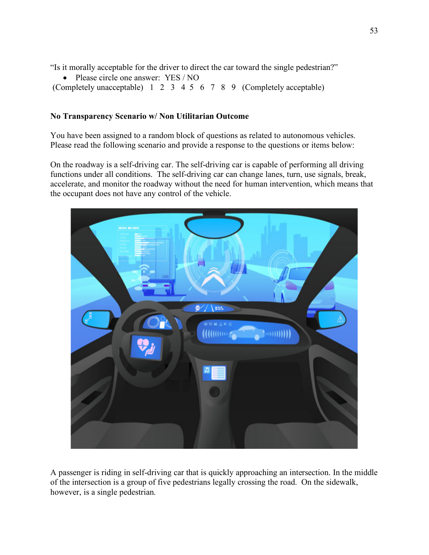"Is it morally acceptable for the driver to direct the car toward the single pedestrian?"

• Please circle one answer: YES / NO

(Completely unacceptable) 1 2 3 4 5 6 7 8 9 (Completely acceptable)

## **No Transparency Scenario w/ Non Utilitarian Outcome**

You have been assigned to a random block of questions as related to autonomous vehicles. Please read the following scenario and provide a response to the questions or items below:

On the roadway is a self-driving car. The self-driving car is capable of performing all driving functions under all conditions. The self-driving car can change lanes, turn, use signals, break, accelerate, and monitor the roadway without the need for human intervention, which means that the occupant does not have any control of the vehicle.



A passenger is riding in self-driving car that is quickly approaching an intersection. In the middle of the intersection is a group of five pedestrians legally crossing the road. On the sidewalk, however, is a single pedestrian.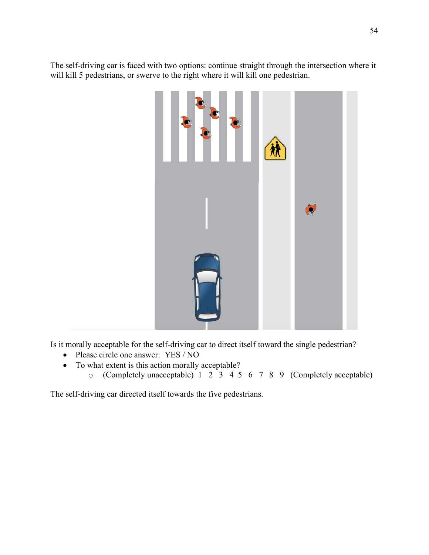The self-driving car is faced with two options: continue straight through the intersection where it will kill 5 pedestrians, or swerve to the right where it will kill one pedestrian.



Is it morally acceptable for the self-driving car to direct itself toward the single pedestrian?

- Please circle one answer: YES / NO
- To what extent is this action morally acceptable?
	- o (Completely unacceptable) 1 2 3 4 5 6 7 8 9 (Completely acceptable)

The self-driving car directed itself towards the five pedestrians.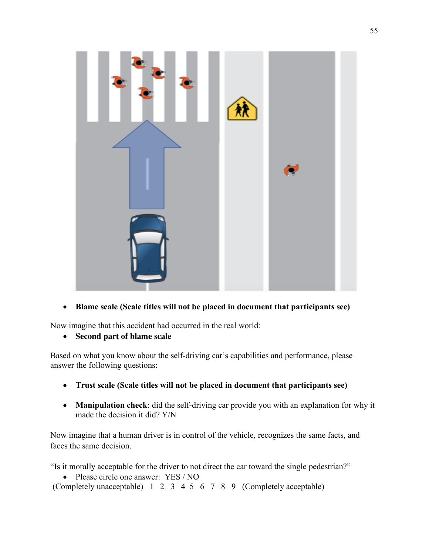

• **Blame scale (Scale titles will not be placed in document that participants see)**

Now imagine that this accident had occurred in the real world:

• **Second part of blame scale**

Based on what you know about the self-driving car's capabilities and performance, please answer the following questions:

- **Trust scale (Scale titles will not be placed in document that participants see)**
- **Manipulation check**: did the self-driving car provide you with an explanation for why it made the decision it did? Y/N

Now imagine that a human driver is in control of the vehicle, recognizes the same facts, and faces the same decision.

"Is it morally acceptable for the driver to not direct the car toward the single pedestrian?"

• Please circle one answer: YES / NO

(Completely unacceptable) 1 2 3 4 5 6 7 8 9 (Completely acceptable)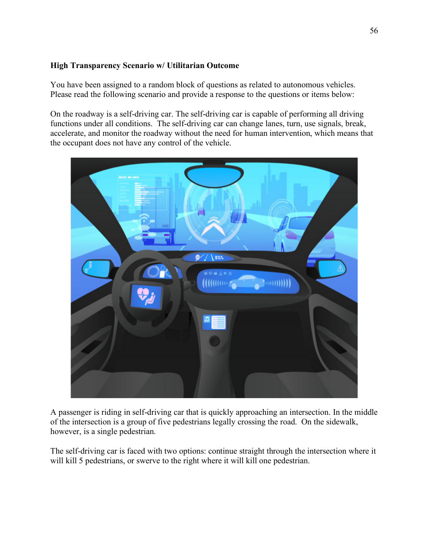# **High Transparency Scenario w/ Utilitarian Outcome**

You have been assigned to a random block of questions as related to autonomous vehicles. Please read the following scenario and provide a response to the questions or items below:

On the roadway is a self-driving car. The self-driving car is capable of performing all driving functions under all conditions. The self-driving car can change lanes, turn, use signals, break, accelerate, and monitor the roadway without the need for human intervention, which means that the occupant does not have any control of the vehicle.



A passenger is riding in self-driving car that is quickly approaching an intersection. In the middle of the intersection is a group of five pedestrians legally crossing the road. On the sidewalk, however, is a single pedestrian.

The self-driving car is faced with two options: continue straight through the intersection where it will kill 5 pedestrians, or swerve to the right where it will kill one pedestrian.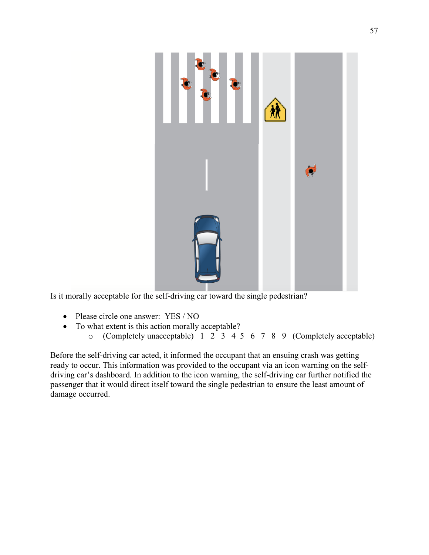

Is it morally acceptable for the self-driving car toward the single pedestrian?

- Please circle one answer: YES / NO
- To what extent is this action morally acceptable?
	- o (Completely unacceptable) 1 2 3 4 5 6 7 8 9 (Completely acceptable)

Before the self-driving car acted, it informed the occupant that an ensuing crash was getting ready to occur. This information was provided to the occupant via an icon warning on the selfdriving car's dashboard. In addition to the icon warning, the self-driving car further notified the passenger that it would direct itself toward the single pedestrian to ensure the least amount of damage occurred.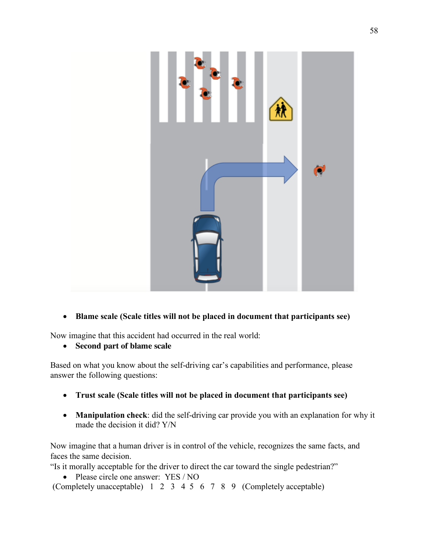

# • **Blame scale (Scale titles will not be placed in document that participants see)**

Now imagine that this accident had occurred in the real world:

• **Second part of blame scale**

Based on what you know about the self-driving car's capabilities and performance, please answer the following questions:

- **Trust scale (Scale titles will not be placed in document that participants see)**
- **Manipulation check**: did the self-driving car provide you with an explanation for why it made the decision it did? Y/N

Now imagine that a human driver is in control of the vehicle, recognizes the same facts, and faces the same decision.

"Is it morally acceptable for the driver to direct the car toward the single pedestrian?"

• Please circle one answer: YES / NO

(Completely unacceptable) 1 2 3 4 5 6 7 8 9 (Completely acceptable)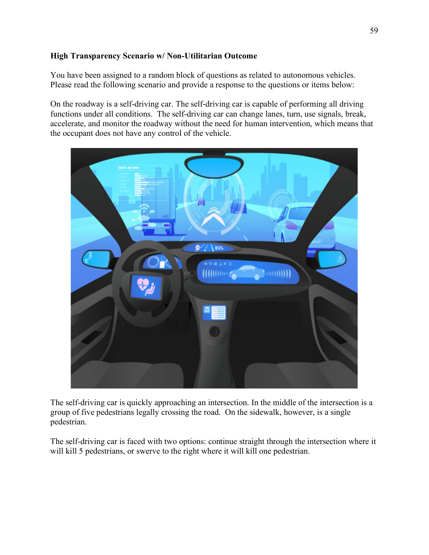# **High Transparency Scenario w/ Non-Utilitarian Outcome**

You have been assigned to a random block of questions as related to autonomous vehicles. Please read the following scenario and provide a response to the questions or items below:

On the roadway is a self-driving car. The self-driving car is capable of performing all driving functions under all conditions. The self-driving car can change lanes, turn, use signals, break, accelerate, and monitor the roadway without the need for human intervention, which means that the occupant does not have any control of the vehicle.



The self-driving car is quickly approaching an intersection. In the middle of the intersection is a group of five pedestrians legally crossing the road. On the sidewalk, however, is a single pedestrian.

The self-driving car is faced with two options: continue straight through the intersection where it will kill 5 pedestrians, or swerve to the right where it will kill one pedestrian.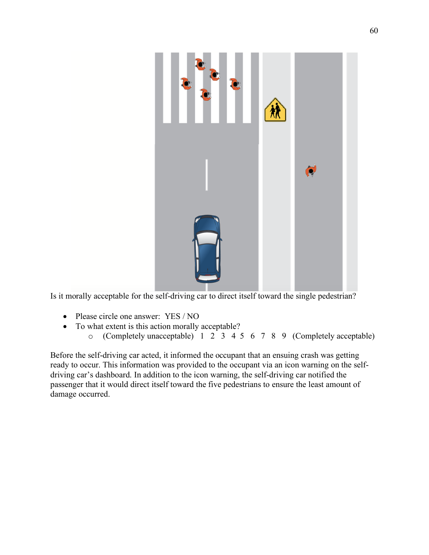

Is it morally acceptable for the self-driving car to direct itself toward the single pedestrian?

- Please circle one answer: YES / NO
- To what extent is this action morally acceptable?
	- o (Completely unacceptable) 1 2 3 4 5 6 7 8 9 (Completely acceptable)

Before the self-driving car acted, it informed the occupant that an ensuing crash was getting ready to occur. This information was provided to the occupant via an icon warning on the selfdriving car's dashboard. In addition to the icon warning, the self-driving car notified the passenger that it would direct itself toward the five pedestrians to ensure the least amount of damage occurred.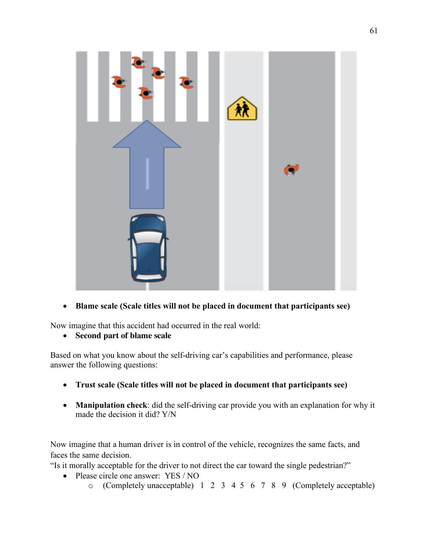

• **Blame scale (Scale titles will not be placed in document that participants see)**

Now imagine that this accident had occurred in the real world:

• **Second part of blame scale**

Based on what you know about the self-driving car's capabilities and performance, please answer the following questions:

- **Trust scale (Scale titles will not be placed in document that participants see)**
- **Manipulation check**: did the self-driving car provide you with an explanation for why it made the decision it did? Y/N

Now imagine that a human driver is in control of the vehicle, recognizes the same facts, and faces the same decision.

"Is it morally acceptable for the driver to not direct the car toward the single pedestrian?"

- Please circle one answer: YES / NO
	- o (Completely unacceptable) 1 2 3 4 5 6 7 8 9 (Completely acceptable)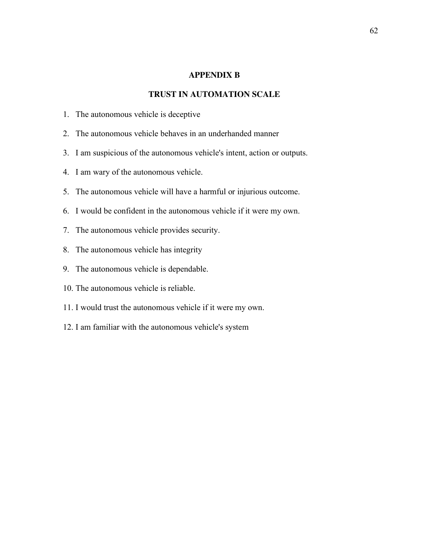### **APPENDIX B**

## **TRUST IN AUTOMATION SCALE**

- 1. The autonomous vehicle is deceptive
- 2. The autonomous vehicle behaves in an underhanded manner
- 3. I am suspicious of the autonomous vehicle's intent, action or outputs.
- 4. I am wary of the autonomous vehicle.
- 5. The autonomous vehicle will have a harmful or injurious outcome.
- 6. I would be confident in the autonomous vehicle if it were my own.
- 7. The autonomous vehicle provides security.
- 8. The autonomous vehicle has integrity
- 9. The autonomous vehicle is dependable.
- 10. The autonomous vehicle is reliable.
- 11. I would trust the autonomous vehicle if it were my own.
- 12. I am familiar with the autonomous vehicle's system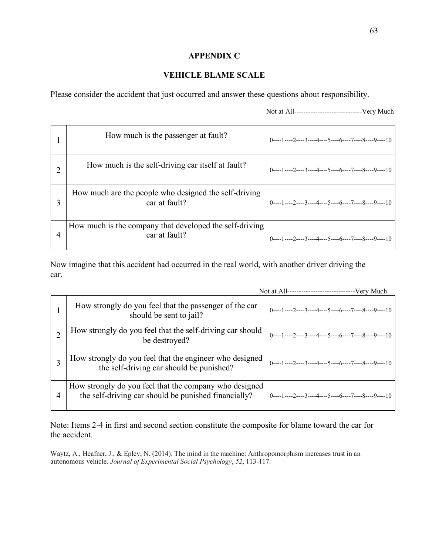## **APPENDIX C**

# **VEHICLE BLAME SCALE**

Please consider the accident that just occurred and answer these questions about responsibility.

Not at All-----------------------------Very Much

| How much is the passenger at fault?                                      | $0 \rightarrow 1 \rightarrow 2 \rightarrow 3 \rightarrow 4 \rightarrow 5 \rightarrow 6 \rightarrow 6 \rightarrow 7 \rightarrow 8 \rightarrow 9 \rightarrow 10$ |
|--------------------------------------------------------------------------|----------------------------------------------------------------------------------------------------------------------------------------------------------------|
| How much is the self-driving car itself at fault?                        | $0$ ----1----2----3----4----5----6----7----8----9----10                                                                                                        |
| How much are the people who designed the self-driving<br>car at fault?   | $0 \rightarrow 1 \rightarrow 2 \rightarrow 3 \rightarrow 4 \rightarrow 5 \rightarrow 6 \rightarrow 7 \rightarrow 8 \rightarrow 9 \rightarrow 10$               |
| How much is the company that developed the self-driving<br>car at fault? | $0---1---2---3---4---5---6---7---8---9---10$                                                                                                                   |

Now imagine that this accident had occurred in the real world, with another driver driving the car.

|   | How strongly do you feel that the passenger of the car<br>should be sent to jail?                              | $0$ ----1----2----3----4----5----6----7----8----9----10 |
|---|----------------------------------------------------------------------------------------------------------------|---------------------------------------------------------|
|   | How strongly do you feel that the self-driving car should<br>be destroyed?                                     | $0$ ----1----2----3----4----5----6----7----8----9----10 |
|   | How strongly do you feel that the engineer who designed<br>the self-driving car should be punished?            | $0$ ----1----2----3----4----5----6----7----8----9----10 |
| 4 | How strongly do you feel that the company who designed<br>the self-driving car should be punished financially? | $0$ ----1----2----3----4----5----6----7----8----9----10 |

Note: Items 2-4 in first and second section constitute the composite for blame toward the car for the accident.

Waytz, A., Heafner, J., & Epley, N. (2014). The mind in the machine: Anthropomorphism increases trust in an autonomous vehicle. *Journal of Experimental Social Psychology*, *52*, 113-117.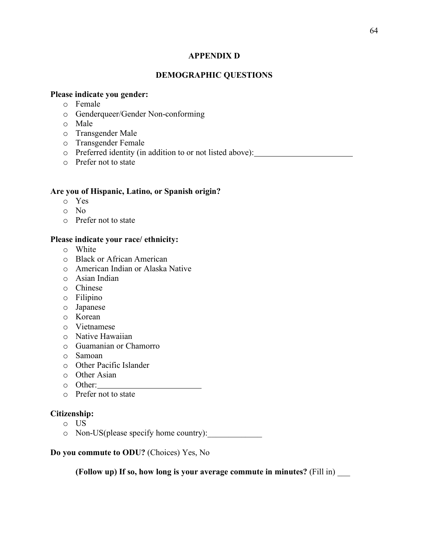### **APPENDIX D**

## **DEMOGRAPHIC QUESTIONS**

## **Please indicate you gender:**

- o Female
- o Genderqueer/Gender Non-conforming
- o Male
- o Transgender Male
- o Transgender Female
- o Preferred identity (in addition to or not listed above):
- o Prefer not to state

#### **Are you of Hispanic, Latino, or Spanish origin?**

- o Yes
- o No
- o Prefer not to state

### **Please indicate your race/ ethnicity:**

- o White
- o Black or African American
- o American Indian or Alaska Native
- o Asian Indian
- o Chinese
- o Filipino
- o Japanese
- o Korean
- o Vietnamese
- o Native Hawaiian
- o Guamanian or Chamorro
- o Samoan
- o Other Pacific Islander
- o Other Asian
- o Other:
- o Prefer not to state

#### **Citizenship:**

- o US
- $\circ$  Non-US(please specify home country):

**Do you commute to ODU?** (Choices) Yes, No

**(Follow up) If so, how long is your average commute in minutes?** (Fill in) \_\_\_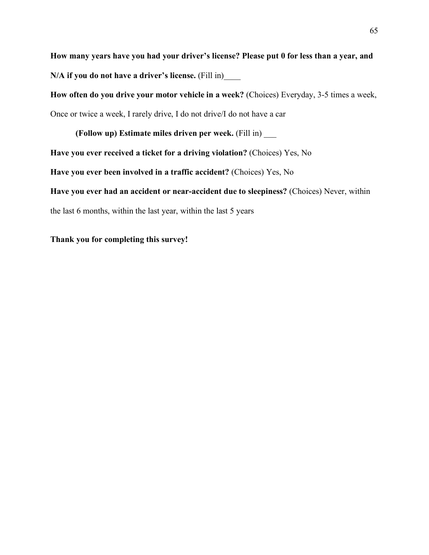**How many years have you had your driver's license? Please put 0 for less than a year, and N/A if you do not have a driver's license.** (Fill in)\_\_\_\_

**How often do you drive your motor vehicle in a week?** (Choices) Everyday, 3-5 times a week,

Once or twice a week, I rarely drive, I do not drive/I do not have a car

**(Follow up) Estimate miles driven per week.** (Fill in) \_\_\_ **Have you ever received a ticket for a driving violation?** (Choices) Yes, No

**Have you ever been involved in a traffic accident?** (Choices) Yes, No

**Have you ever had an accident or near-accident due to sleepiness?** (Choices) Never, within

the last 6 months, within the last year, within the last 5 years

**Thank you for completing this survey!**